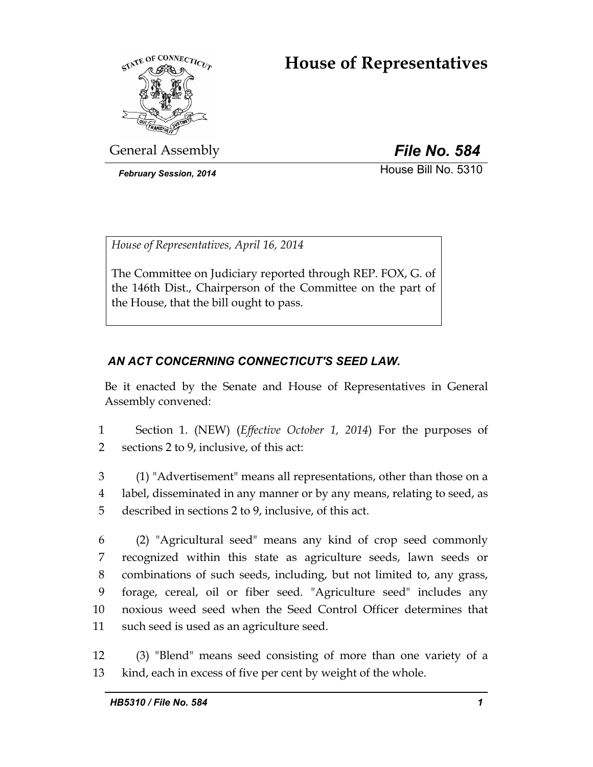# **House of Representatives**



General Assembly *File No. 584*

*February Session, 2014* House Bill No. 5310

*House of Representatives, April 16, 2014* 

The Committee on Judiciary reported through REP. FOX, G. of the 146th Dist., Chairperson of the Committee on the part of the House, that the bill ought to pass.

# *AN ACT CONCERNING CONNECTICUT'S SEED LAW.*

Be it enacted by the Senate and House of Representatives in General Assembly convened:

1 Section 1. (NEW) (*Effective October 1, 2014*) For the purposes of 2 sections 2 to 9, inclusive, of this act:

3 (1) "Advertisement" means all representations, other than those on a 4 label, disseminated in any manner or by any means, relating to seed, as 5 described in sections 2 to 9, inclusive, of this act.

6 (2) "Agricultural seed" means any kind of crop seed commonly 7 recognized within this state as agriculture seeds, lawn seeds or 8 combinations of such seeds, including, but not limited to, any grass, 9 forage, cereal, oil or fiber seed. "Agriculture seed" includes any 10 noxious weed seed when the Seed Control Officer determines that 11 such seed is used as an agriculture seed.

12 (3) "Blend" means seed consisting of more than one variety of a 13 kind, each in excess of five per cent by weight of the whole.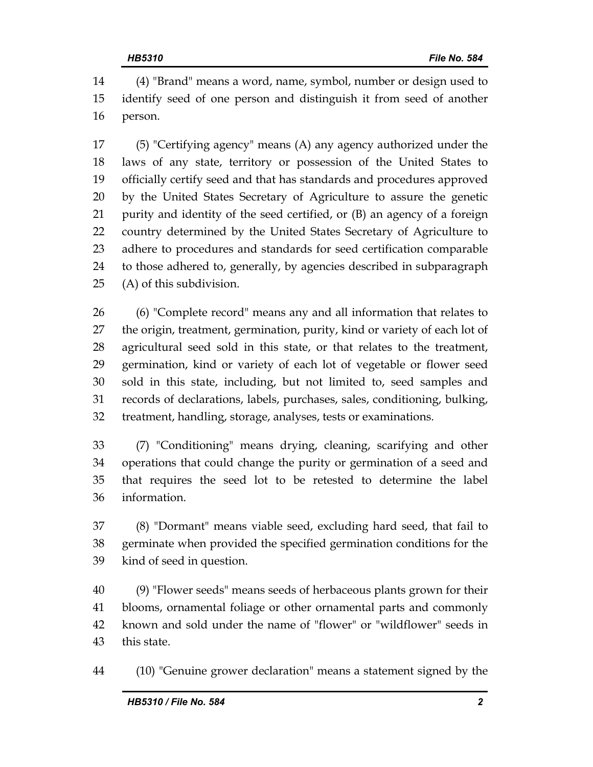14 (4) "Brand" means a word, name, symbol, number or design used to 15 identify seed of one person and distinguish it from seed of another 16 person.

17 (5) "Certifying agency" means (A) any agency authorized under the 18 laws of any state, territory or possession of the United States to 19 officially certify seed and that has standards and procedures approved 20 by the United States Secretary of Agriculture to assure the genetic 21 purity and identity of the seed certified, or (B) an agency of a foreign 22 country determined by the United States Secretary of Agriculture to 23 adhere to procedures and standards for seed certification comparable 24 to those adhered to, generally, by agencies described in subparagraph 25 (A) of this subdivision.

26 (6) "Complete record" means any and all information that relates to 27 the origin, treatment, germination, purity, kind or variety of each lot of 28 agricultural seed sold in this state, or that relates to the treatment, 29 germination, kind or variety of each lot of vegetable or flower seed 30 sold in this state, including, but not limited to, seed samples and 31 records of declarations, labels, purchases, sales, conditioning, bulking, 32 treatment, handling, storage, analyses, tests or examinations.

33 (7) "Conditioning" means drying, cleaning, scarifying and other 34 operations that could change the purity or germination of a seed and 35 that requires the seed lot to be retested to determine the label 36 information.

37 (8) "Dormant" means viable seed, excluding hard seed, that fail to 38 germinate when provided the specified germination conditions for the 39 kind of seed in question.

40 (9) "Flower seeds" means seeds of herbaceous plants grown for their 41 blooms, ornamental foliage or other ornamental parts and commonly 42 known and sold under the name of "flower" or "wildflower" seeds in 43 this state.

44 (10) "Genuine grower declaration" means a statement signed by the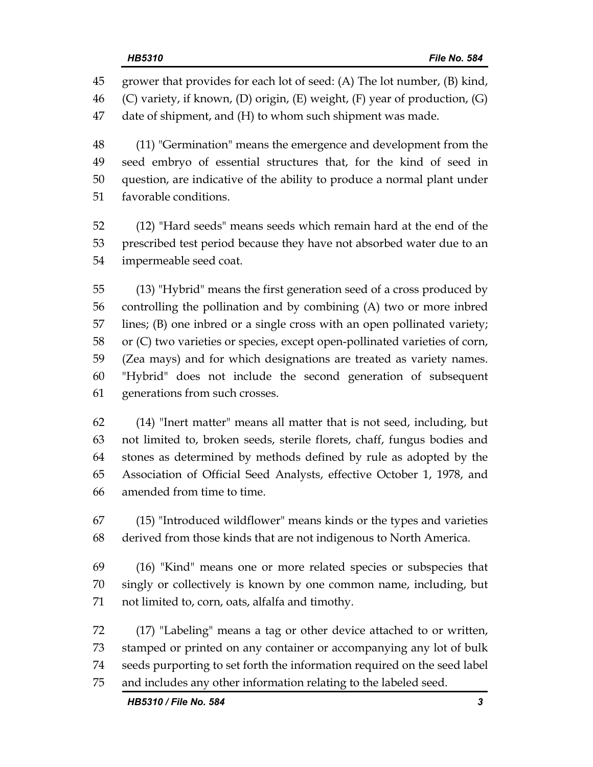45 grower that provides for each lot of seed: (A) The lot number, (B) kind, 46 (C) variety, if known, (D) origin, (E) weight, (F) year of production, (G) 47 date of shipment, and (H) to whom such shipment was made.

48 (11) "Germination" means the emergence and development from the 49 seed embryo of essential structures that, for the kind of seed in 50 question, are indicative of the ability to produce a normal plant under 51 favorable conditions.

52 (12) "Hard seeds" means seeds which remain hard at the end of the 53 prescribed test period because they have not absorbed water due to an 54 impermeable seed coat.

55 (13) "Hybrid" means the first generation seed of a cross produced by 56 controlling the pollination and by combining (A) two or more inbred 57 lines; (B) one inbred or a single cross with an open pollinated variety; 58 or (C) two varieties or species, except open-pollinated varieties of corn, 59 (Zea mays) and for which designations are treated as variety names. 60 "Hybrid" does not include the second generation of subsequent 61 generations from such crosses.

62 (14) "Inert matter" means all matter that is not seed, including, but 63 not limited to, broken seeds, sterile florets, chaff, fungus bodies and 64 stones as determined by methods defined by rule as adopted by the 65 Association of Official Seed Analysts, effective October 1, 1978, and 66 amended from time to time.

67 (15) "Introduced wildflower" means kinds or the types and varieties 68 derived from those kinds that are not indigenous to North America.

69 (16) "Kind" means one or more related species or subspecies that 70 singly or collectively is known by one common name, including, but 71 not limited to, corn, oats, alfalfa and timothy.

72 (17) "Labeling" means a tag or other device attached to or written, 73 stamped or printed on any container or accompanying any lot of bulk 74 seeds purporting to set forth the information required on the seed label 75 and includes any other information relating to the labeled seed.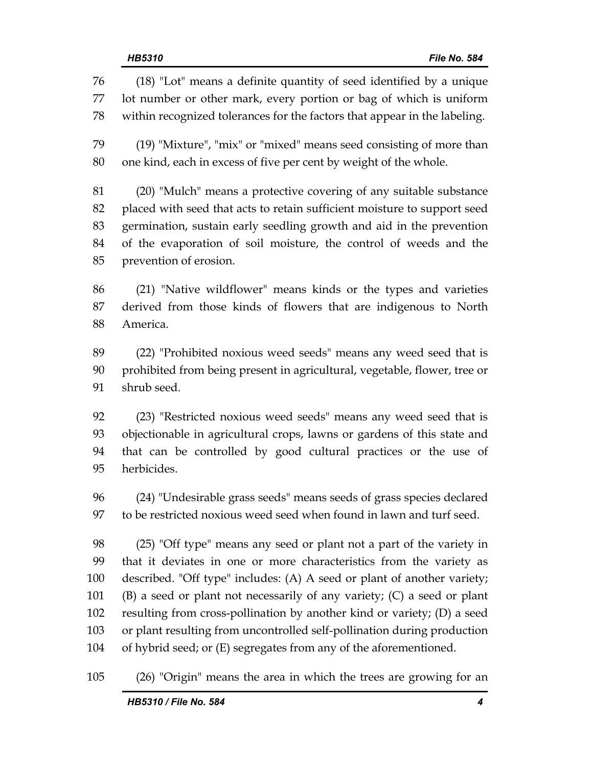76 (18) "Lot" means a definite quantity of seed identified by a unique 77 lot number or other mark, every portion or bag of which is uniform 78 within recognized tolerances for the factors that appear in the labeling. 79 (19) "Mixture", "mix" or "mixed" means seed consisting of more than 80 one kind, each in excess of five per cent by weight of the whole. 81 (20) "Mulch" means a protective covering of any suitable substance 82 placed with seed that acts to retain sufficient moisture to support seed 83 germination, sustain early seedling growth and aid in the prevention 84 of the evaporation of soil moisture, the control of weeds and the 85 prevention of erosion. 86 (21) "Native wildflower" means kinds or the types and varieties 87 derived from those kinds of flowers that are indigenous to North 88 America. 89 (22) "Prohibited noxious weed seeds" means any weed seed that is 90 prohibited from being present in agricultural, vegetable, flower, tree or 91 shrub seed. 92 (23) "Restricted noxious weed seeds" means any weed seed that is 93 objectionable in agricultural crops, lawns or gardens of this state and 94 that can be controlled by good cultural practices or the use of 95 herbicides. 96 (24) "Undesirable grass seeds" means seeds of grass species declared 97 to be restricted noxious weed seed when found in lawn and turf seed. 98 (25) "Off type" means any seed or plant not a part of the variety in 99 that it deviates in one or more characteristics from the variety as 100 described. "Off type" includes: (A) A seed or plant of another variety; 101 (B) a seed or plant not necessarily of any variety; (C) a seed or plant 102 resulting from cross-pollination by another kind or variety; (D) a seed 103 or plant resulting from uncontrolled self-pollination during production

104 of hybrid seed; or (E) segregates from any of the aforementioned.

105 (26) "Origin" means the area in which the trees are growing for an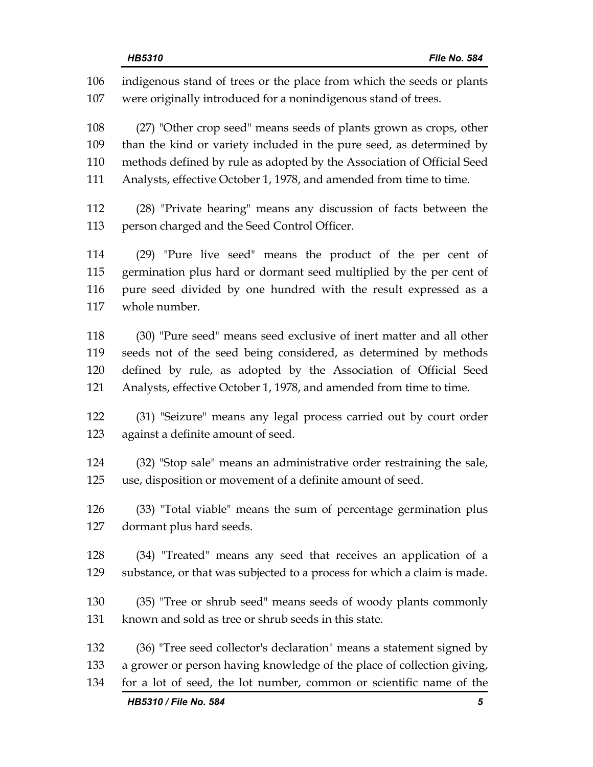106 indigenous stand of trees or the place from which the seeds or plants 107 were originally introduced for a nonindigenous stand of trees. 108 (27) "Other crop seed" means seeds of plants grown as crops, other 109 than the kind or variety included in the pure seed, as determined by 110 methods defined by rule as adopted by the Association of Official Seed 111 Analysts, effective October 1, 1978, and amended from time to time. 112 (28) "Private hearing" means any discussion of facts between the 113 person charged and the Seed Control Officer. 114 (29) "Pure live seed" means the product of the per cent of 115 germination plus hard or dormant seed multiplied by the per cent of 116 pure seed divided by one hundred with the result expressed as a 117 whole number. 118 (30) "Pure seed" means seed exclusive of inert matter and all other 119 seeds not of the seed being considered, as determined by methods 120 defined by rule, as adopted by the Association of Official Seed 121 Analysts, effective October 1, 1978, and amended from time to time. 122 (31) "Seizure" means any legal process carried out by court order 123 against a definite amount of seed. 124 (32) "Stop sale" means an administrative order restraining the sale, 125 use, disposition or movement of a definite amount of seed. 126 (33) "Total viable" means the sum of percentage germination plus 127 dormant plus hard seeds. 128 (34) "Treated" means any seed that receives an application of a 129 substance, or that was subjected to a process for which a claim is made. 130 (35) "Tree or shrub seed" means seeds of woody plants commonly 131 known and sold as tree or shrub seeds in this state. 132 (36) "Tree seed collector's declaration" means a statement signed by 133 a grower or person having knowledge of the place of collection giving, 134 for a lot of seed, the lot number, common or scientific name of the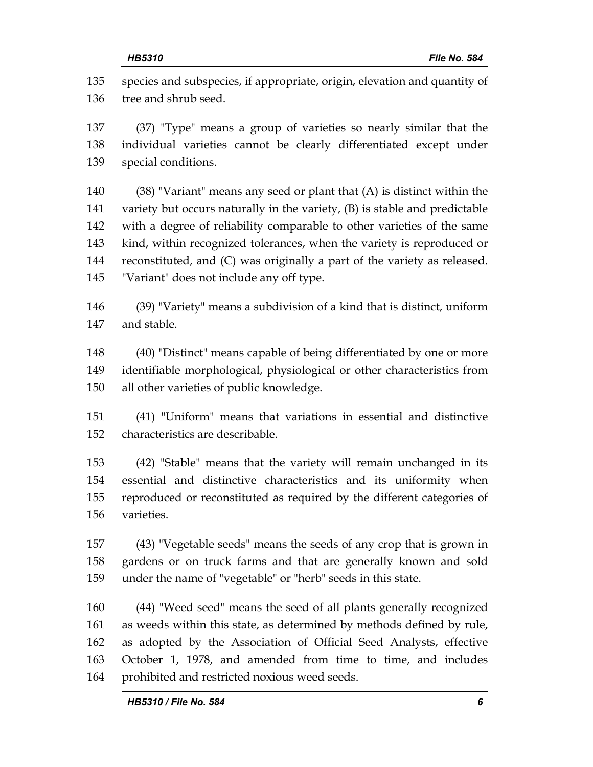135 species and subspecies, if appropriate, origin, elevation and quantity of 136 tree and shrub seed.

137 (37) "Type" means a group of varieties so nearly similar that the 138 individual varieties cannot be clearly differentiated except under 139 special conditions.

140 (38) "Variant" means any seed or plant that (A) is distinct within the 141 variety but occurs naturally in the variety, (B) is stable and predictable 142 with a degree of reliability comparable to other varieties of the same 143 kind, within recognized tolerances, when the variety is reproduced or 144 reconstituted, and (C) was originally a part of the variety as released. 145 "Variant" does not include any off type.

146 (39) "Variety" means a subdivision of a kind that is distinct, uniform 147 and stable.

148 (40) "Distinct" means capable of being differentiated by one or more 149 identifiable morphological, physiological or other characteristics from 150 all other varieties of public knowledge.

151 (41) "Uniform" means that variations in essential and distinctive 152 characteristics are describable.

153 (42) "Stable" means that the variety will remain unchanged in its 154 essential and distinctive characteristics and its uniformity when 155 reproduced or reconstituted as required by the different categories of 156 varieties.

157 (43) "Vegetable seeds" means the seeds of any crop that is grown in 158 gardens or on truck farms and that are generally known and sold 159 under the name of "vegetable" or "herb" seeds in this state.

160 (44) "Weed seed" means the seed of all plants generally recognized 161 as weeds within this state, as determined by methods defined by rule, 162 as adopted by the Association of Official Seed Analysts, effective 163 October 1, 1978, and amended from time to time, and includes 164 prohibited and restricted noxious weed seeds.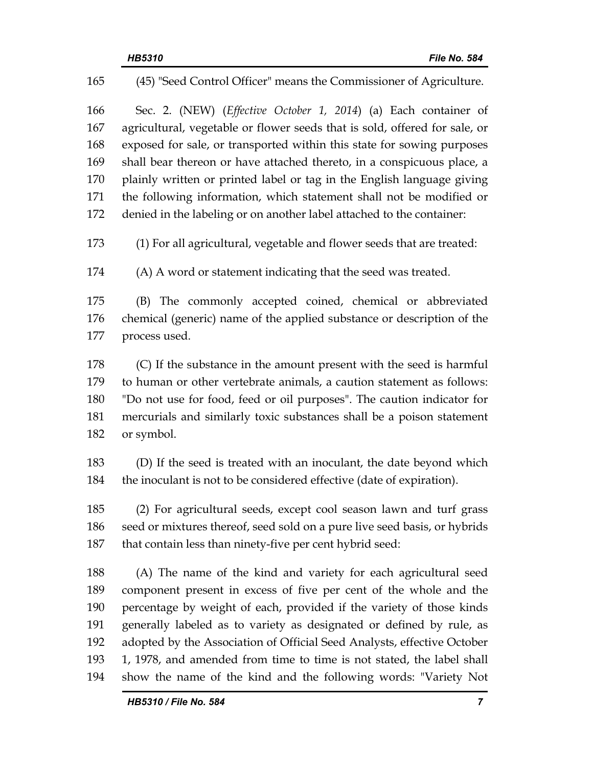| 165 | (45) "Seed Control Officer" means the Commissioner of Agriculture.         |  |  |
|-----|----------------------------------------------------------------------------|--|--|
| 166 | Sec. 2. (NEW) (Effective October 1, 2014) (a) Each container of            |  |  |
| 167 | agricultural, vegetable or flower seeds that is sold, offered for sale, or |  |  |
| 168 | exposed for sale, or transported within this state for sowing purposes     |  |  |
| 169 | shall bear thereon or have attached thereto, in a conspicuous place, a     |  |  |
| 170 | plainly written or printed label or tag in the English language giving     |  |  |
| 171 | the following information, which statement shall not be modified or        |  |  |
| 172 | denied in the labeling or on another label attached to the container:      |  |  |
| 173 | (1) For all agricultural, vegetable and flower seeds that are treated:     |  |  |
| 174 | (A) A word or statement indicating that the seed was treated.              |  |  |
| 175 | (B) The commonly accepted coined, chemical or abbreviated                  |  |  |
| 176 | chemical (generic) name of the applied substance or description of the     |  |  |
| 177 | process used.                                                              |  |  |
| 178 | (C) If the substance in the amount present with the seed is harmful        |  |  |
| 179 | to human or other vertebrate animals, a caution statement as follows:      |  |  |
| 180 | "Do not use for food, feed or oil purposes". The caution indicator for     |  |  |
| 181 | mercurials and similarly toxic substances shall be a poison statement      |  |  |
| 182 | or symbol.                                                                 |  |  |
| 183 | (D) If the seed is treated with an inoculant, the date beyond which        |  |  |
| 184 | the inoculant is not to be considered effective (date of expiration).      |  |  |
| 185 | (2) For agricultural seeds, except cool season lawn and turf grass         |  |  |
| 186 | seed or mixtures thereof, seed sold on a pure live seed basis, or hybrids  |  |  |
| 187 | that contain less than ninety-five per cent hybrid seed:                   |  |  |
| 188 | (A) The name of the kind and variety for each agricultural seed            |  |  |
| 189 | component present in excess of five per cent of the whole and the          |  |  |
| 190 | percentage by weight of each, provided if the variety of those kinds       |  |  |
| 191 | generally labeled as to variety as designated or defined by rule, as       |  |  |
| 192 | adopted by the Association of Official Seed Analysts, effective October    |  |  |
| 193 | 1, 1978, and amended from time to time is not stated, the label shall      |  |  |
| 194 | show the name of the kind and the following words: "Variety Not            |  |  |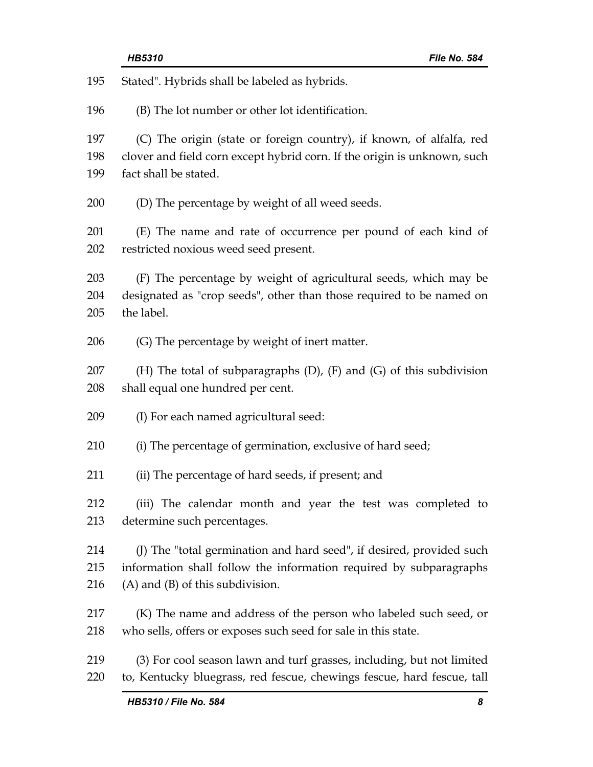| 195 | Stated". Hybrids shall be labeled as hybrids.                              |  |  |
|-----|----------------------------------------------------------------------------|--|--|
| 196 | (B) The lot number or other lot identification.                            |  |  |
| 197 | (C) The origin (state or foreign country), if known, of alfalfa, red       |  |  |
| 198 | clover and field corn except hybrid corn. If the origin is unknown, such   |  |  |
| 199 | fact shall be stated.                                                      |  |  |
| 200 | (D) The percentage by weight of all weed seeds.                            |  |  |
| 201 | (E) The name and rate of occurrence per pound of each kind of              |  |  |
| 202 | restricted noxious weed seed present.                                      |  |  |
| 203 | (F) The percentage by weight of agricultural seeds, which may be           |  |  |
| 204 | designated as "crop seeds", other than those required to be named on       |  |  |
| 205 | the label.                                                                 |  |  |
| 206 | (G) The percentage by weight of inert matter.                              |  |  |
| 207 | (H) The total of subparagraphs $(D)$ , $(F)$ and $(G)$ of this subdivision |  |  |
| 208 | shall equal one hundred per cent.                                          |  |  |
| 209 | (I) For each named agricultural seed:                                      |  |  |
| 210 | (i) The percentage of germination, exclusive of hard seed;                 |  |  |
| 211 | (ii) The percentage of hard seeds, if present; and                         |  |  |
| 212 | (iii) The calendar month and year the test was completed to                |  |  |
| 213 | determine such percentages.                                                |  |  |
| 214 | (J) The "total germination and hard seed", if desired, provided such       |  |  |
| 215 | information shall follow the information required by subparagraphs         |  |  |
| 216 | $(A)$ and $(B)$ of this subdivision.                                       |  |  |
| 217 | (K) The name and address of the person who labeled such seed, or           |  |  |
| 218 | who sells, offers or exposes such seed for sale in this state.             |  |  |
| 219 | (3) For cool season lawn and turf grasses, including, but not limited      |  |  |
| 220 | to, Kentucky bluegrass, red fescue, chewings fescue, hard fescue, tall     |  |  |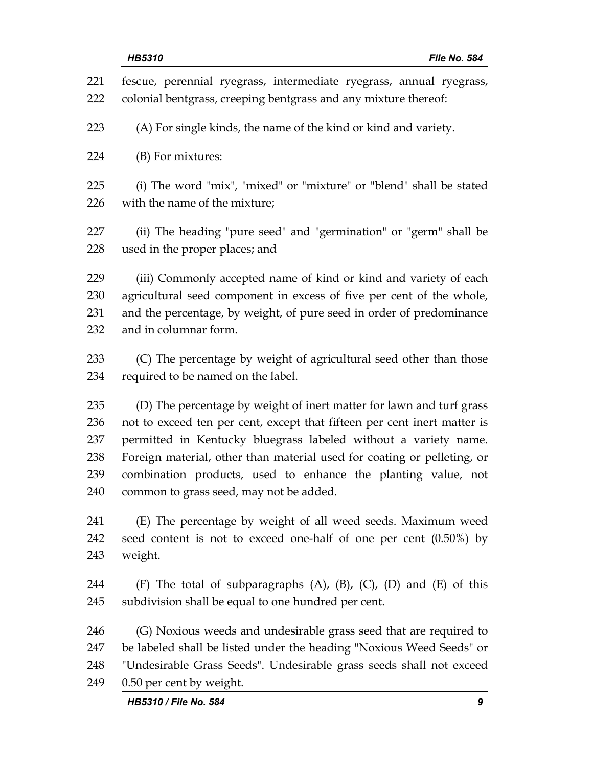| 221<br>222 | fescue, perennial ryegrass, intermediate ryegrass, annual ryegrass,<br>colonial bentgrass, creeping bentgrass and any mixture thereof: |  |  |
|------------|----------------------------------------------------------------------------------------------------------------------------------------|--|--|
| 223        | (A) For single kinds, the name of the kind or kind and variety.                                                                        |  |  |
| 224        | (B) For mixtures:                                                                                                                      |  |  |
|            |                                                                                                                                        |  |  |
| 225<br>226 | (i) The word "mix", "mixed" or "mixture" or "blend" shall be stated<br>with the name of the mixture;                                   |  |  |
| 227<br>228 | (ii) The heading "pure seed" and "germination" or "germ" shall be<br>used in the proper places; and                                    |  |  |
| 229        | (iii) Commonly accepted name of kind or kind and variety of each                                                                       |  |  |
| 230        | agricultural seed component in excess of five per cent of the whole,                                                                   |  |  |
| 231        | and the percentage, by weight, of pure seed in order of predominance                                                                   |  |  |
| 232        | and in columnar form.                                                                                                                  |  |  |
| 233        | (C) The percentage by weight of agricultural seed other than those                                                                     |  |  |
| 234        | required to be named on the label.                                                                                                     |  |  |
| 235        | (D) The percentage by weight of inert matter for lawn and turf grass                                                                   |  |  |
| 236        | not to exceed ten per cent, except that fifteen per cent inert matter is                                                               |  |  |
| 237        | permitted in Kentucky bluegrass labeled without a variety name.                                                                        |  |  |
| 238        | Foreign material, other than material used for coating or pelleting, or                                                                |  |  |
| 239<br>240 | combination products, used to enhance the planting value, not<br>common to grass seed, may not be added.                               |  |  |
| 241        | (E) The percentage by weight of all weed seeds. Maximum weed                                                                           |  |  |
| 242        | seed content is not to exceed one-half of one per cent (0.50%) by                                                                      |  |  |
| 243        | weight.                                                                                                                                |  |  |
| 244        | (F) The total of subparagraphs $(A)$ , $(B)$ , $(C)$ , $(D)$ and $(E)$ of this                                                         |  |  |
| 245        | subdivision shall be equal to one hundred per cent.                                                                                    |  |  |
| 246        | (G) Noxious weeds and undesirable grass seed that are required to                                                                      |  |  |
| 247        | be labeled shall be listed under the heading "Noxious Weed Seeds" or                                                                   |  |  |
| 248        | "Undesirable Grass Seeds". Undesirable grass seeds shall not exceed                                                                    |  |  |
| 249        | 0.50 per cent by weight.                                                                                                               |  |  |
|            | HB5310 / File No. 584<br>9                                                                                                             |  |  |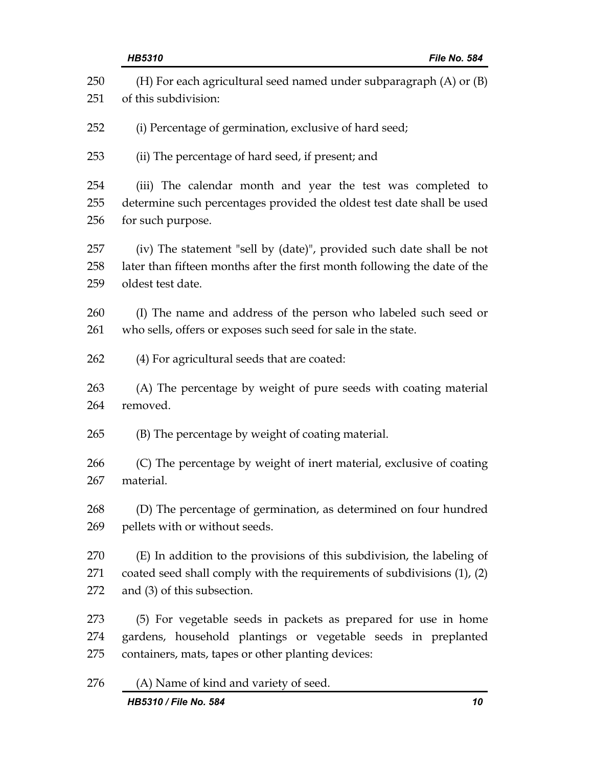|     | <b>HB5310</b><br>File No. 584                                             |
|-----|---------------------------------------------------------------------------|
| 250 | (H) For each agricultural seed named under subparagraph $(A)$ or $(B)$    |
| 251 | of this subdivision:                                                      |
| 252 | (i) Percentage of germination, exclusive of hard seed;                    |
| 253 | (ii) The percentage of hard seed, if present; and                         |
| 254 | (iii) The calendar month and year the test was completed to               |
| 255 | determine such percentages provided the oldest test date shall be used    |
| 256 | for such purpose.                                                         |
| 257 | (iv) The statement "sell by (date)", provided such date shall be not      |
| 258 | later than fifteen months after the first month following the date of the |
| 259 | oldest test date.                                                         |
| 260 | (I) The name and address of the person who labeled such seed or           |
| 261 | who sells, offers or exposes such seed for sale in the state.             |
| 262 | (4) For agricultural seeds that are coated:                               |
| 263 | (A) The percentage by weight of pure seeds with coating material          |
| 264 | removed.                                                                  |
| 265 | (B) The percentage by weight of coating material.                         |
| 266 | (C) The percentage by weight of inert material, exclusive of coating      |
| 267 | material.                                                                 |
| 268 | (D) The percentage of germination, as determined on four hundred          |
| 269 | pellets with or without seeds.                                            |
| 270 | (E) In addition to the provisions of this subdivision, the labeling of    |
| 271 | coated seed shall comply with the requirements of subdivisions (1), (2)   |
| 272 | and (3) of this subsection.                                               |
| 273 | (5) For vegetable seeds in packets as prepared for use in home            |
| 274 | gardens, household plantings or vegetable seeds in preplanted             |
| 275 | containers, mats, tapes or other planting devices:                        |
| 276 | (A) Name of kind and variety of seed.                                     |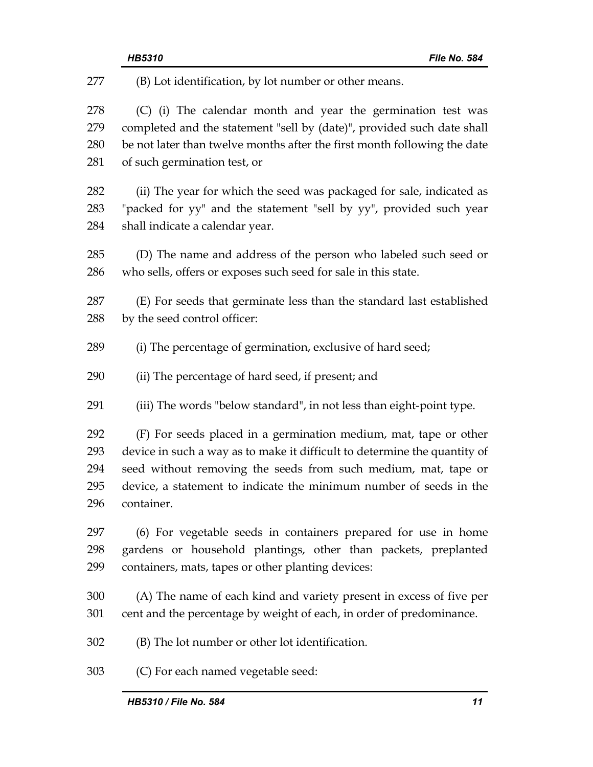| 277 | (B) Lot identification, by lot number or other means.                     |  |
|-----|---------------------------------------------------------------------------|--|
| 278 | (C) (i) The calendar month and year the germination test was              |  |
| 279 | completed and the statement "sell by (date)", provided such date shall    |  |
| 280 | be not later than twelve months after the first month following the date  |  |
| 281 | of such germination test, or                                              |  |
| 282 | (ii) The year for which the seed was packaged for sale, indicated as      |  |
| 283 | "packed for yy" and the statement "sell by yy", provided such year        |  |
| 284 | shall indicate a calendar year.                                           |  |
| 285 | (D) The name and address of the person who labeled such seed or           |  |
| 286 | who sells, offers or exposes such seed for sale in this state.            |  |
| 287 | (E) For seeds that germinate less than the standard last established      |  |
| 288 | by the seed control officer:                                              |  |
| 289 | (i) The percentage of germination, exclusive of hard seed;                |  |
| 290 | (ii) The percentage of hard seed, if present; and                         |  |
| 291 | (iii) The words "below standard", in not less than eight-point type.      |  |
| 292 | (F) For seeds placed in a germination medium, mat, tape or other          |  |
| 293 | device in such a way as to make it difficult to determine the quantity of |  |
| 294 | seed without removing the seeds from such medium, mat, tape or            |  |
| 295 | device, a statement to indicate the minimum number of seeds in the        |  |
| 296 | container.                                                                |  |
| 297 | (6) For vegetable seeds in containers prepared for use in home            |  |
| 298 | gardens or household plantings, other than packets, preplanted            |  |
| 299 | containers, mats, tapes or other planting devices:                        |  |
| 300 | (A) The name of each kind and variety present in excess of five per       |  |
| 301 | cent and the percentage by weight of each, in order of predominance.      |  |
| 302 | (B) The lot number or other lot identification.                           |  |
| 303 | (C) For each named vegetable seed:                                        |  |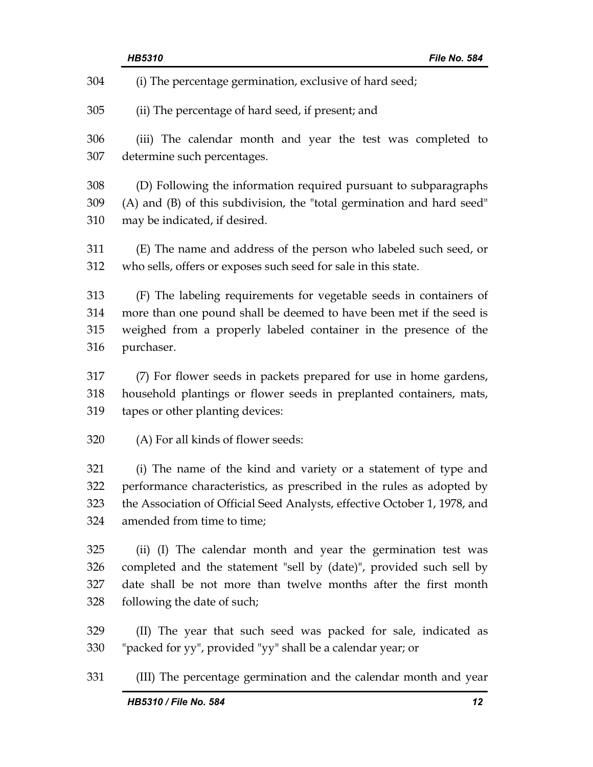|     | HB5310<br>File No. 584                                                    |  |
|-----|---------------------------------------------------------------------------|--|
| 304 | (i) The percentage germination, exclusive of hard seed;                   |  |
| 305 | (ii) The percentage of hard seed, if present; and                         |  |
| 306 | (iii) The calendar month and year the test was completed to               |  |
| 307 | determine such percentages.                                               |  |
| 308 | (D) Following the information required pursuant to subparagraphs          |  |
| 309 | (A) and (B) of this subdivision, the "total germination and hard seed"    |  |
| 310 | may be indicated, if desired.                                             |  |
| 311 | (E) The name and address of the person who labeled such seed, or          |  |
| 312 | who sells, offers or exposes such seed for sale in this state.            |  |
| 313 | (F) The labeling requirements for vegetable seeds in containers of        |  |
| 314 | more than one pound shall be deemed to have been met if the seed is       |  |
| 315 | weighed from a properly labeled container in the presence of the          |  |
| 316 | purchaser.                                                                |  |
| 317 | (7) For flower seeds in packets prepared for use in home gardens,         |  |
| 318 | household plantings or flower seeds in preplanted containers, mats,       |  |
| 319 | tapes or other planting devices:                                          |  |
| 320 | (A) For all kinds of flower seeds:                                        |  |
| 321 | (i) The name of the kind and variety or a statement of type and           |  |
| 322 | performance characteristics, as prescribed in the rules as adopted by     |  |
| 323 | the Association of Official Seed Analysts, effective October 1, 1978, and |  |
| 324 | amended from time to time;                                                |  |
| 325 | (ii) (I) The calendar month and year the germination test was             |  |
| 326 | completed and the statement "sell by (date)", provided such sell by       |  |
| 327 | date shall be not more than twelve months after the first month           |  |
| 328 | following the date of such;                                               |  |
| 329 | (II) The year that such seed was packed for sale, indicated as            |  |
| 330 | "packed for yy", provided "yy" shall be a calendar year; or               |  |
| 331 | (III) The percentage germination and the calendar month and year          |  |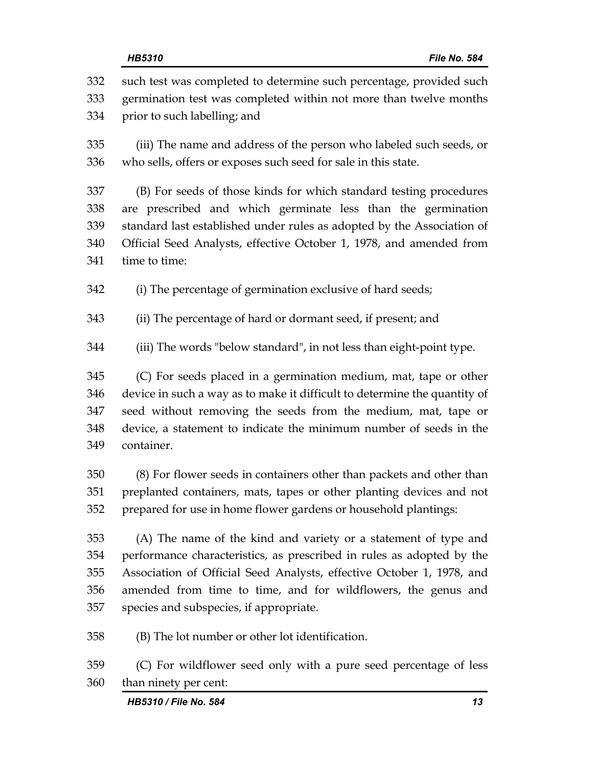332 such test was completed to determine such percentage, provided such 333 germination test was completed within not more than twelve months 334 prior to such labelling; and 335 (iii) The name and address of the person who labeled such seeds, or 336 who sells, offers or exposes such seed for sale in this state. 337 (B) For seeds of those kinds for which standard testing procedures 338 are prescribed and which germinate less than the germination 339 standard last established under rules as adopted by the Association of 340 Official Seed Analysts, effective October 1, 1978, and amended from 341 time to time: 342 (i) The percentage of germination exclusive of hard seeds; 343 (ii) The percentage of hard or dormant seed, if present; and 344 (iii) The words "below standard", in not less than eight-point type. 345 (C) For seeds placed in a germination medium, mat, tape or other 346 device in such a way as to make it difficult to determine the quantity of 347 seed without removing the seeds from the medium, mat, tape or 348 device, a statement to indicate the minimum number of seeds in the 349 container. 350 (8) For flower seeds in containers other than packets and other than 351 preplanted containers, mats, tapes or other planting devices and not 352 prepared for use in home flower gardens or household plantings: 353 (A) The name of the kind and variety or a statement of type and 354 performance characteristics, as prescribed in rules as adopted by the 355 Association of Official Seed Analysts, effective October 1, 1978, and 356 amended from time to time, and for wildflowers, the genus and 357 species and subspecies, if appropriate. 358 (B) The lot number or other lot identification. 359 (C) For wildflower seed only with a pure seed percentage of less

360 than ninety per cent: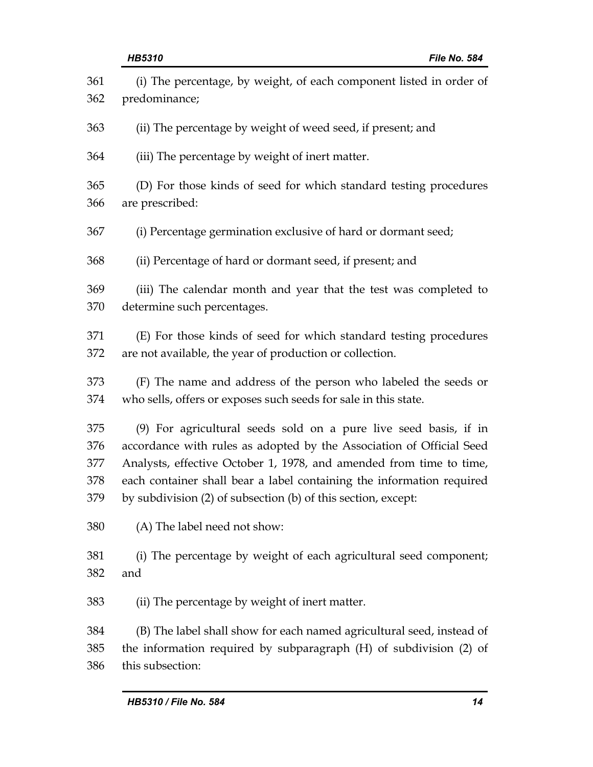| 361 | (i) The percentage, by weight, of each component listed in order of   |
|-----|-----------------------------------------------------------------------|
| 362 | predominance;                                                         |
| 363 | (ii) The percentage by weight of weed seed, if present; and           |
| 364 | (iii) The percentage by weight of inert matter.                       |
| 365 | (D) For those kinds of seed for which standard testing procedures     |
| 366 | are prescribed:                                                       |
| 367 | (i) Percentage germination exclusive of hard or dormant seed;         |
| 368 | (ii) Percentage of hard or dormant seed, if present; and              |
| 369 | (iii) The calendar month and year that the test was completed to      |
| 370 | determine such percentages.                                           |
| 371 | (E) For those kinds of seed for which standard testing procedures     |
| 372 | are not available, the year of production or collection.              |
| 373 | (F) The name and address of the person who labeled the seeds or       |
| 374 | who sells, offers or exposes such seeds for sale in this state.       |
| 375 | (9) For agricultural seeds sold on a pure live seed basis, if in      |
| 376 | accordance with rules as adopted by the Association of Official Seed  |
| 377 | Analysts, effective October 1, 1978, and amended from time to time,   |
| 378 | each container shall bear a label containing the information required |
| 379 | by subdivision (2) of subsection (b) of this section, except:         |
| 380 | (A) The label need not show:                                          |
| 381 | (i) The percentage by weight of each agricultural seed component;     |
| 382 | and                                                                   |
| 383 | (ii) The percentage by weight of inert matter.                        |
| 384 | (B) The label shall show for each named agricultural seed, instead of |
| 385 | the information required by subparagraph (H) of subdivision (2) of    |
| 386 | this subsection:                                                      |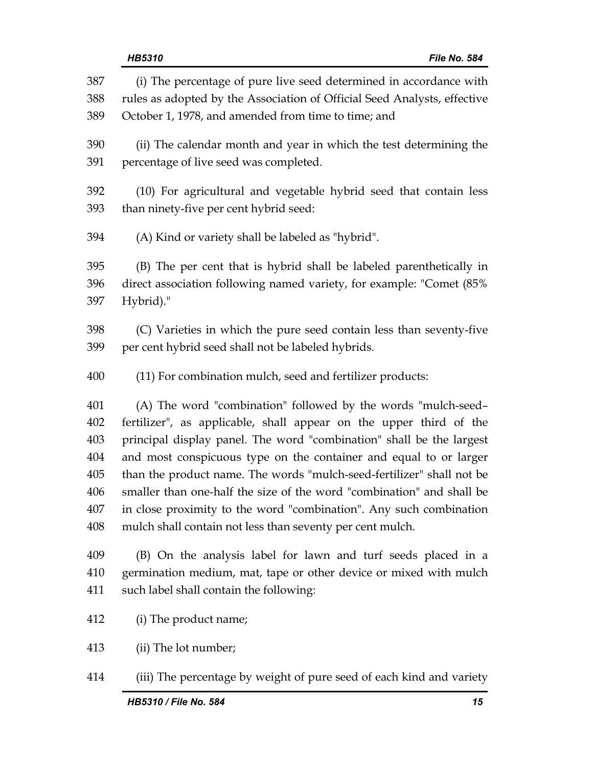| 387 | (i) The percentage of pure live seed determined in accordance with       |  |
|-----|--------------------------------------------------------------------------|--|
| 388 | rules as adopted by the Association of Official Seed Analysts, effective |  |
| 389 | October 1, 1978, and amended from time to time; and                      |  |
| 390 | (ii) The calendar month and year in which the test determining the       |  |
| 391 | percentage of live seed was completed.                                   |  |
| 392 | (10) For agricultural and vegetable hybrid seed that contain less        |  |
| 393 | than ninety-five per cent hybrid seed:                                   |  |
| 394 | (A) Kind or variety shall be labeled as "hybrid".                        |  |
| 395 | (B) The per cent that is hybrid shall be labeled parenthetically in      |  |
| 396 | direct association following named variety, for example: "Comet (85%     |  |
| 397 | Hybrid)."                                                                |  |
| 398 | (C) Varieties in which the pure seed contain less than seventy-five      |  |
| 399 | per cent hybrid seed shall not be labeled hybrids.                       |  |
| 400 | (11) For combination mulch, seed and fertilizer products:                |  |
| 401 | (A) The word "combination" followed by the words "mulch-seed-            |  |
| 402 | fertilizer", as applicable, shall appear on the upper third of the       |  |
| 403 | principal display panel. The word "combination" shall be the largest     |  |
| 404 | and most conspicuous type on the container and equal to or larger        |  |
| 405 | than the product name. The words "mulch-seed-fertilizer" shall not be    |  |
| 406 | smaller than one-half the size of the word "combination" and shall be    |  |
| 407 | in close proximity to the word "combination". Any such combination       |  |
| 408 | mulch shall contain not less than seventy per cent mulch.                |  |
| 409 | (B) On the analysis label for lawn and turf seeds placed in a            |  |
| 410 | germination medium, mat, tape or other device or mixed with mulch        |  |
| 411 | such label shall contain the following:                                  |  |
| 412 | (i) The product name;                                                    |  |
| 413 | (ii) The lot number;                                                     |  |

414 (iii) The percentage by weight of pure seed of each kind and variety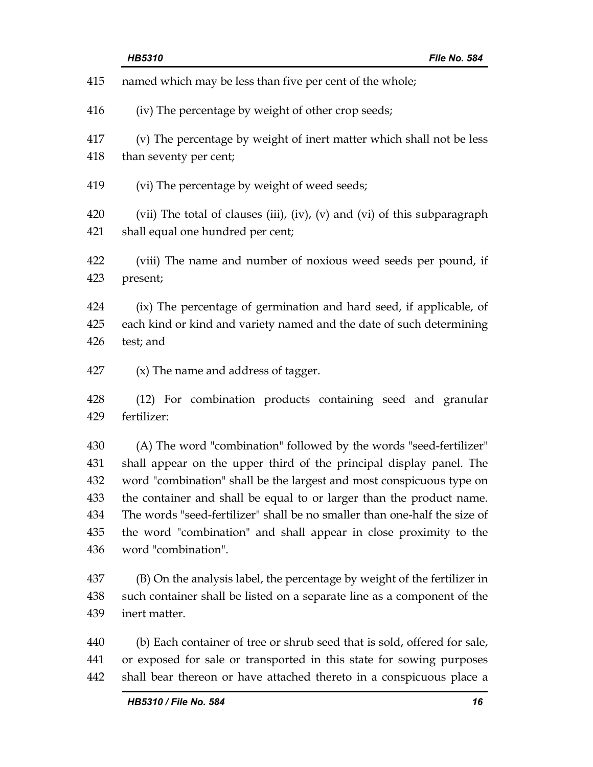| 415 | named which may be less than five per cent of the whole;                  |  |
|-----|---------------------------------------------------------------------------|--|
| 416 | (iv) The percentage by weight of other crop seeds;                        |  |
| 417 | (v) The percentage by weight of inert matter which shall not be less      |  |
| 418 | than seventy per cent;                                                    |  |
| 419 | (vi) The percentage by weight of weed seeds;                              |  |
| 420 | (vii) The total of clauses (iii), (iv), (v) and (vi) of this subparagraph |  |
| 421 | shall equal one hundred per cent;                                         |  |
| 422 | (viii) The name and number of noxious weed seeds per pound, if            |  |
| 423 | present;                                                                  |  |
| 424 | (ix) The percentage of germination and hard seed, if applicable, of       |  |
| 425 | each kind or kind and variety named and the date of such determining      |  |
| 426 | test; and                                                                 |  |
| 427 | $(x)$ The name and address of tagger.                                     |  |
| 428 | (12) For combination products containing seed and granular                |  |
| 429 | fertilizer:                                                               |  |
| 430 | (A) The word "combination" followed by the words "seed-fertilizer"        |  |
| 431 | shall appear on the upper third of the principal display panel. The       |  |
| 432 | word "combination" shall be the largest and most conspicuous type on      |  |
| 433 | the container and shall be equal to or larger than the product name.      |  |
| 434 | The words "seed-fertilizer" shall be no smaller than one-half the size of |  |
| 435 | the word "combination" and shall appear in close proximity to the         |  |
| 436 | word "combination".                                                       |  |
| 437 | (B) On the analysis label, the percentage by weight of the fertilizer in  |  |
| 438 | such container shall be listed on a separate line as a component of the   |  |
| 439 | inert matter.                                                             |  |
| 440 | (b) Each container of tree or shrub seed that is sold, offered for sale,  |  |
| 441 | or exposed for sale or transported in this state for sowing purposes      |  |
| 442 | shall bear thereon or have attached thereto in a conspicuous place a      |  |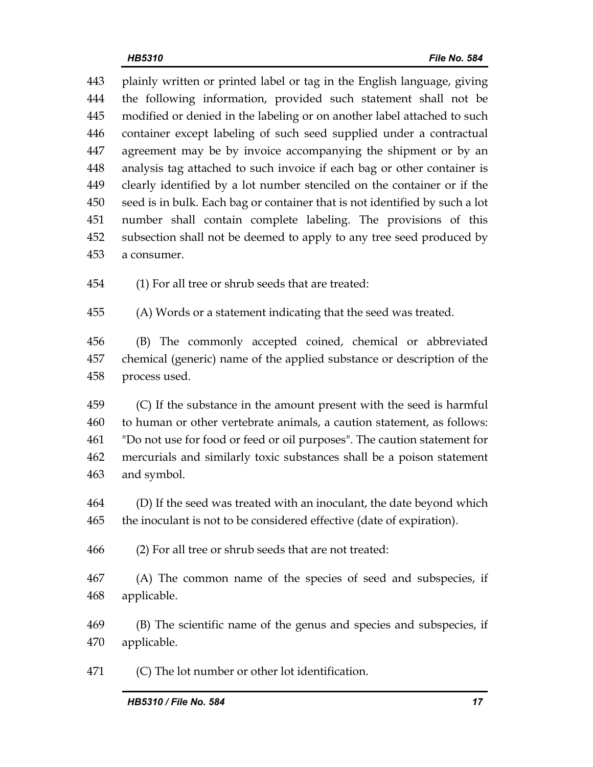443 plainly written or printed label or tag in the English language, giving 444 the following information, provided such statement shall not be 445 modified or denied in the labeling or on another label attached to such 446 container except labeling of such seed supplied under a contractual 447 agreement may be by invoice accompanying the shipment or by an 448 analysis tag attached to such invoice if each bag or other container is 449 clearly identified by a lot number stenciled on the container or if the 450 seed is in bulk. Each bag or container that is not identified by such a lot 451 number shall contain complete labeling. The provisions of this 452 subsection shall not be deemed to apply to any tree seed produced by 453 a consumer.

454 (1) For all tree or shrub seeds that are treated:

455 (A) Words or a statement indicating that the seed was treated.

456 (B) The commonly accepted coined, chemical or abbreviated 457 chemical (generic) name of the applied substance or description of the 458 process used.

459 (C) If the substance in the amount present with the seed is harmful 460 to human or other vertebrate animals, a caution statement, as follows: 461 "Do not use for food or feed or oil purposes". The caution statement for 462 mercurials and similarly toxic substances shall be a poison statement 463 and symbol.

464 (D) If the seed was treated with an inoculant, the date beyond which 465 the inoculant is not to be considered effective (date of expiration).

466 (2) For all tree or shrub seeds that are not treated:

467 (A) The common name of the species of seed and subspecies, if 468 applicable.

469 (B) The scientific name of the genus and species and subspecies, if 470 applicable.

471 (C) The lot number or other lot identification.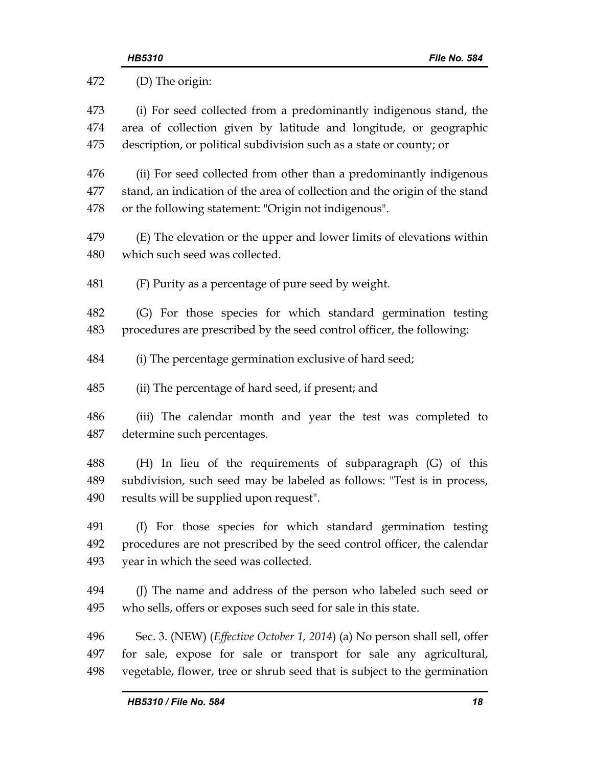| 472 | (D) The origin:                                                                    |  |
|-----|------------------------------------------------------------------------------------|--|
| 473 | (i) For seed collected from a predominantly indigenous stand, the                  |  |
| 474 | area of collection given by latitude and longitude, or geographic                  |  |
| 475 | description, or political subdivision such as a state or county; or                |  |
| 476 | (ii) For seed collected from other than a predominantly indigenous                 |  |
| 477 | stand, an indication of the area of collection and the origin of the stand         |  |
| 478 | or the following statement: "Origin not indigenous".                               |  |
| 479 | (E) The elevation or the upper and lower limits of elevations within               |  |
| 480 | which such seed was collected.                                                     |  |
| 481 | (F) Purity as a percentage of pure seed by weight.                                 |  |
| 482 | (G) For those species for which standard germination testing                       |  |
| 483 | procedures are prescribed by the seed control officer, the following:              |  |
| 484 | (i) The percentage germination exclusive of hard seed;                             |  |
| 485 | (ii) The percentage of hard seed, if present; and                                  |  |
| 486 | (iii) The calendar month and year the test was completed to                        |  |
| 487 | determine such percentages.                                                        |  |
| 488 | (H) In lieu of the requirements of subparagraph (G) of this                        |  |
| 489 | subdivision, such seed may be labeled as follows: "Test is in process,             |  |
| 490 | results will be supplied upon request".                                            |  |
| 491 | (I) For those species for which standard germination testing                       |  |
| 492 | procedures are not prescribed by the seed control officer, the calendar            |  |
| 493 | year in which the seed was collected.                                              |  |
| 494 | (J) The name and address of the person who labeled such seed or                    |  |
| 495 | who sells, offers or exposes such seed for sale in this state.                     |  |
| 496 | Sec. 3. (NEW) ( <i>Effective October 1, 2014</i> ) (a) No person shall sell, offer |  |
| 497 | for sale, expose for sale or transport for sale any agricultural,                  |  |
| 498 | vegetable, flower, tree or shrub seed that is subject to the germination           |  |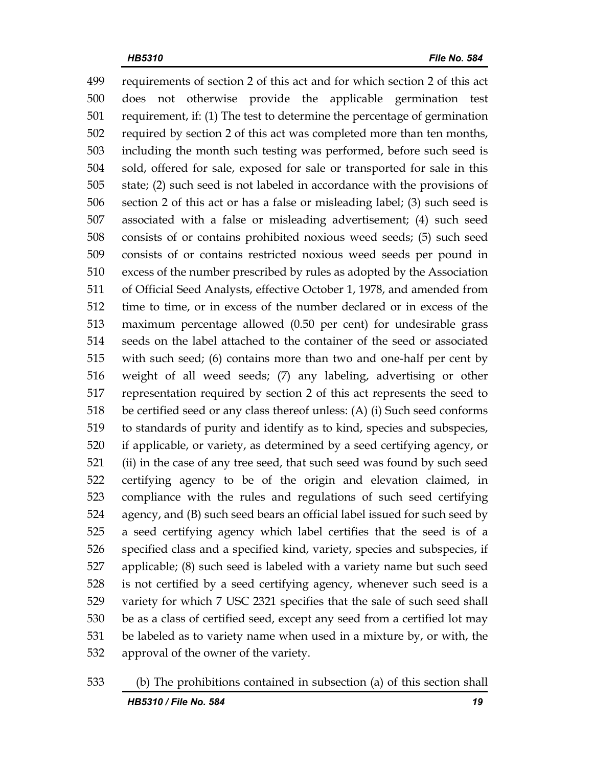499 requirements of section 2 of this act and for which section 2 of this act 500 does not otherwise provide the applicable germination test 501 requirement, if: (1) The test to determine the percentage of germination 502 required by section 2 of this act was completed more than ten months, 503 including the month such testing was performed, before such seed is 504 sold, offered for sale, exposed for sale or transported for sale in this 505 state; (2) such seed is not labeled in accordance with the provisions of 506 section 2 of this act or has a false or misleading label; (3) such seed is 507 associated with a false or misleading advertisement; (4) such seed 508 consists of or contains prohibited noxious weed seeds; (5) such seed 509 consists of or contains restricted noxious weed seeds per pound in 510 excess of the number prescribed by rules as adopted by the Association 511 of Official Seed Analysts, effective October 1, 1978, and amended from 512 time to time, or in excess of the number declared or in excess of the 513 maximum percentage allowed (0.50 per cent) for undesirable grass 514 seeds on the label attached to the container of the seed or associated 515 with such seed; (6) contains more than two and one-half per cent by 516 weight of all weed seeds; (7) any labeling, advertising or other 517 representation required by section 2 of this act represents the seed to 518 be certified seed or any class thereof unless: (A) (i) Such seed conforms 519 to standards of purity and identify as to kind, species and subspecies, 520 if applicable, or variety, as determined by a seed certifying agency, or 521 (ii) in the case of any tree seed, that such seed was found by such seed 522 certifying agency to be of the origin and elevation claimed, in 523 compliance with the rules and regulations of such seed certifying 524 agency, and (B) such seed bears an official label issued for such seed by 525 a seed certifying agency which label certifies that the seed is of a 526 specified class and a specified kind, variety, species and subspecies, if 527 applicable; (8) such seed is labeled with a variety name but such seed 528 is not certified by a seed certifying agency, whenever such seed is a 529 variety for which 7 USC 2321 specifies that the sale of such seed shall 530 be as a class of certified seed, except any seed from a certified lot may 531 be labeled as to variety name when used in a mixture by, or with, the 532 approval of the owner of the variety.

# 533 (b) The prohibitions contained in subsection (a) of this section shall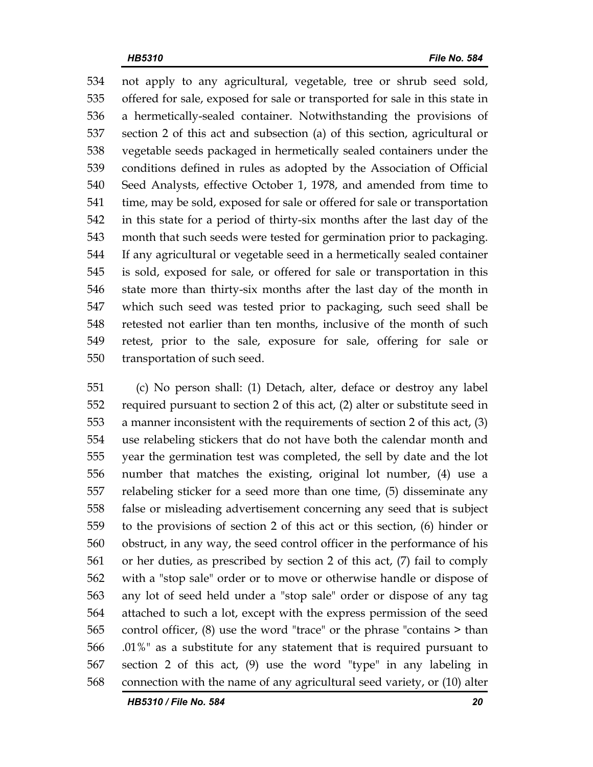534 not apply to any agricultural, vegetable, tree or shrub seed sold, 535 offered for sale, exposed for sale or transported for sale in this state in 536 a hermetically-sealed container. Notwithstanding the provisions of 537 section 2 of this act and subsection (a) of this section, agricultural or 538 vegetable seeds packaged in hermetically sealed containers under the 539 conditions defined in rules as adopted by the Association of Official 540 Seed Analysts, effective October 1, 1978, and amended from time to 541 time, may be sold, exposed for sale or offered for sale or transportation 542 in this state for a period of thirty-six months after the last day of the 543 month that such seeds were tested for germination prior to packaging. 544 If any agricultural or vegetable seed in a hermetically sealed container 545 is sold, exposed for sale, or offered for sale or transportation in this 546 state more than thirty-six months after the last day of the month in 547 which such seed was tested prior to packaging, such seed shall be 548 retested not earlier than ten months, inclusive of the month of such 549 retest, prior to the sale, exposure for sale, offering for sale or 550 transportation of such seed.

551 (c) No person shall: (1) Detach, alter, deface or destroy any label 552 required pursuant to section 2 of this act, (2) alter or substitute seed in 553 a manner inconsistent with the requirements of section 2 of this act, (3) 554 use relabeling stickers that do not have both the calendar month and 555 year the germination test was completed, the sell by date and the lot 556 number that matches the existing, original lot number, (4) use a 557 relabeling sticker for a seed more than one time, (5) disseminate any 558 false or misleading advertisement concerning any seed that is subject 559 to the provisions of section 2 of this act or this section, (6) hinder or 560 obstruct, in any way, the seed control officer in the performance of his 561 or her duties, as prescribed by section 2 of this act, (7) fail to comply 562 with a "stop sale" order or to move or otherwise handle or dispose of 563 any lot of seed held under a "stop sale" order or dispose of any tag 564 attached to such a lot, except with the express permission of the seed 565 control officer, (8) use the word "trace" or the phrase "contains > than 566 .01%" as a substitute for any statement that is required pursuant to 567 section 2 of this act, (9) use the word "type" in any labeling in 568 connection with the name of any agricultural seed variety, or (10) alter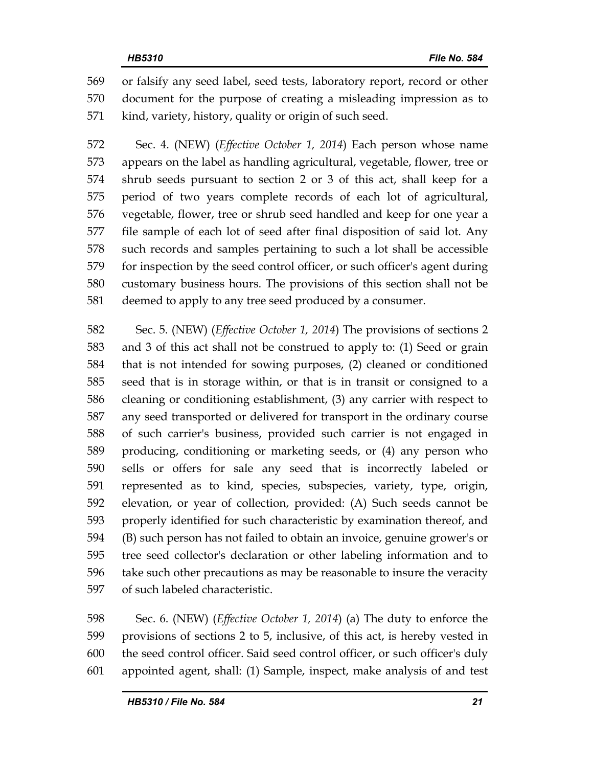569 or falsify any seed label, seed tests, laboratory report, record or other 570 document for the purpose of creating a misleading impression as to 571 kind, variety, history, quality or origin of such seed.

572 Sec. 4. (NEW) (*Effective October 1, 2014*) Each person whose name 573 appears on the label as handling agricultural, vegetable, flower, tree or 574 shrub seeds pursuant to section 2 or 3 of this act, shall keep for a 575 period of two years complete records of each lot of agricultural, 576 vegetable, flower, tree or shrub seed handled and keep for one year a 577 file sample of each lot of seed after final disposition of said lot. Any 578 such records and samples pertaining to such a lot shall be accessible 579 for inspection by the seed control officer, or such officer's agent during 580 customary business hours. The provisions of this section shall not be 581 deemed to apply to any tree seed produced by a consumer.

582 Sec. 5. (NEW) (*Effective October 1, 2014*) The provisions of sections 2 583 and 3 of this act shall not be construed to apply to: (1) Seed or grain 584 that is not intended for sowing purposes, (2) cleaned or conditioned 585 seed that is in storage within, or that is in transit or consigned to a 586 cleaning or conditioning establishment, (3) any carrier with respect to 587 any seed transported or delivered for transport in the ordinary course 588 of such carrier's business, provided such carrier is not engaged in 589 producing, conditioning or marketing seeds, or (4) any person who 590 sells or offers for sale any seed that is incorrectly labeled or 591 represented as to kind, species, subspecies, variety, type, origin, 592 elevation, or year of collection, provided: (A) Such seeds cannot be 593 properly identified for such characteristic by examination thereof, and 594 (B) such person has not failed to obtain an invoice, genuine grower's or 595 tree seed collector's declaration or other labeling information and to 596 take such other precautions as may be reasonable to insure the veracity 597 of such labeled characteristic.

598 Sec. 6. (NEW) (*Effective October 1, 2014*) (a) The duty to enforce the 599 provisions of sections 2 to 5, inclusive, of this act, is hereby vested in 600 the seed control officer. Said seed control officer, or such officer's duly 601 appointed agent, shall: (1) Sample, inspect, make analysis of and test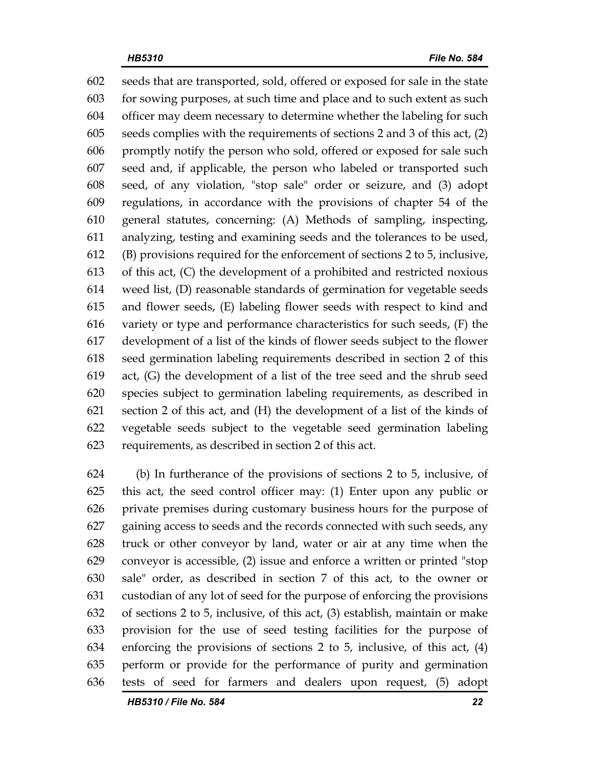602 seeds that are transported, sold, offered or exposed for sale in the state 603 for sowing purposes, at such time and place and to such extent as such 604 officer may deem necessary to determine whether the labeling for such 605 seeds complies with the requirements of sections 2 and 3 of this act, (2) 606 promptly notify the person who sold, offered or exposed for sale such 607 seed and, if applicable, the person who labeled or transported such 608 seed, of any violation, "stop sale" order or seizure, and (3) adopt 609 regulations, in accordance with the provisions of chapter 54 of the 610 general statutes, concerning: (A) Methods of sampling, inspecting, 611 analyzing, testing and examining seeds and the tolerances to be used, 612 (B) provisions required for the enforcement of sections 2 to 5, inclusive, 613 of this act, (C) the development of a prohibited and restricted noxious 614 weed list, (D) reasonable standards of germination for vegetable seeds 615 and flower seeds, (E) labeling flower seeds with respect to kind and 616 variety or type and performance characteristics for such seeds, (F) the 617 development of a list of the kinds of flower seeds subject to the flower 618 seed germination labeling requirements described in section 2 of this 619 act, (G) the development of a list of the tree seed and the shrub seed 620 species subject to germination labeling requirements, as described in 621 section 2 of this act, and (H) the development of a list of the kinds of 622 vegetable seeds subject to the vegetable seed germination labeling 623 requirements, as described in section 2 of this act.

624 (b) In furtherance of the provisions of sections 2 to 5, inclusive, of 625 this act, the seed control officer may: (1) Enter upon any public or 626 private premises during customary business hours for the purpose of 627 gaining access to seeds and the records connected with such seeds, any 628 truck or other conveyor by land, water or air at any time when the 629 conveyor is accessible, (2) issue and enforce a written or printed "stop 630 sale" order, as described in section 7 of this act, to the owner or 631 custodian of any lot of seed for the purpose of enforcing the provisions 632 of sections 2 to 5, inclusive, of this act, (3) establish, maintain or make 633 provision for the use of seed testing facilities for the purpose of 634 enforcing the provisions of sections 2 to 5, inclusive, of this act, (4) 635 perform or provide for the performance of purity and germination 636 tests of seed for farmers and dealers upon request, (5) adopt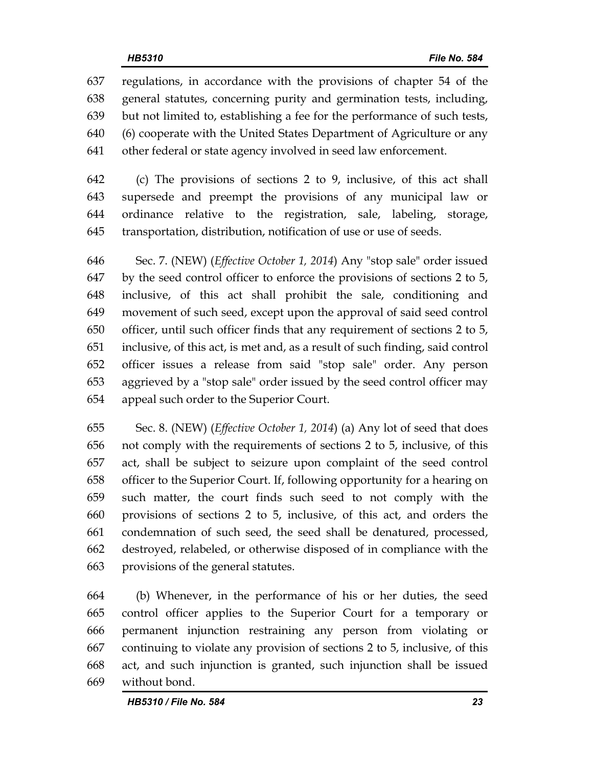637 regulations, in accordance with the provisions of chapter 54 of the 638 general statutes, concerning purity and germination tests, including, 639 but not limited to, establishing a fee for the performance of such tests, 640 (6) cooperate with the United States Department of Agriculture or any 641 other federal or state agency involved in seed law enforcement.

642 (c) The provisions of sections 2 to 9, inclusive, of this act shall 643 supersede and preempt the provisions of any municipal law or 644 ordinance relative to the registration, sale, labeling, storage, 645 transportation, distribution, notification of use or use of seeds.

646 Sec. 7. (NEW) (*Effective October 1, 2014*) Any "stop sale" order issued 647 by the seed control officer to enforce the provisions of sections 2 to 5, 648 inclusive, of this act shall prohibit the sale, conditioning and 649 movement of such seed, except upon the approval of said seed control 650 officer, until such officer finds that any requirement of sections 2 to 5, 651 inclusive, of this act, is met and, as a result of such finding, said control 652 officer issues a release from said "stop sale" order. Any person 653 aggrieved by a "stop sale" order issued by the seed control officer may 654 appeal such order to the Superior Court.

655 Sec. 8. (NEW) (*Effective October 1, 2014*) (a) Any lot of seed that does 656 not comply with the requirements of sections 2 to 5, inclusive, of this 657 act, shall be subject to seizure upon complaint of the seed control 658 officer to the Superior Court. If, following opportunity for a hearing on 659 such matter, the court finds such seed to not comply with the 660 provisions of sections 2 to 5, inclusive, of this act, and orders the 661 condemnation of such seed, the seed shall be denatured, processed, 662 destroyed, relabeled, or otherwise disposed of in compliance with the 663 provisions of the general statutes.

664 (b) Whenever, in the performance of his or her duties, the seed 665 control officer applies to the Superior Court for a temporary or 666 permanent injunction restraining any person from violating or 667 continuing to violate any provision of sections 2 to 5, inclusive, of this 668 act, and such injunction is granted, such injunction shall be issued 669 without bond.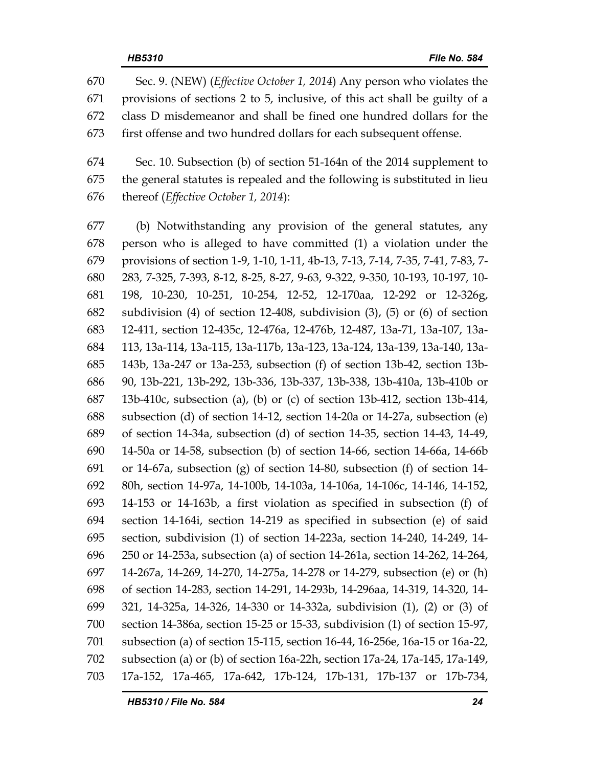670 Sec. 9. (NEW) (*Effective October 1, 2014*) Any person who violates the 671 provisions of sections 2 to 5, inclusive, of this act shall be guilty of a 672 class D misdemeanor and shall be fined one hundred dollars for the 673 first offense and two hundred dollars for each subsequent offense.

674 Sec. 10. Subsection (b) of section 51-164n of the 2014 supplement to 675 the general statutes is repealed and the following is substituted in lieu 676 thereof (*Effective October 1, 2014*):

677 (b) Notwithstanding any provision of the general statutes, any 678 person who is alleged to have committed (1) a violation under the 679 provisions of section 1-9, 1-10, 1-11, 4b-13, 7-13, 7-14, 7-35, 7-41, 7-83, 7- 680 283, 7-325, 7-393, 8-12, 8-25, 8-27, 9-63, 9-322, 9-350, 10-193, 10-197, 10- 681 198, 10-230, 10-251, 10-254, 12-52, 12-170aa, 12-292 or 12-326g, 682 subdivision (4) of section 12-408, subdivision (3), (5) or (6) of section 683 12-411, section 12-435c, 12-476a, 12-476b, 12-487, 13a-71, 13a-107, 13a-684 113, 13a-114, 13a-115, 13a-117b, 13a-123, 13a-124, 13a-139, 13a-140, 13a-685 143b, 13a-247 or 13a-253, subsection (f) of section 13b-42, section 13b-686 90, 13b-221, 13b-292, 13b-336, 13b-337, 13b-338, 13b-410a, 13b-410b or 687 13b-410c, subsection (a), (b) or (c) of section 13b-412, section 13b-414, 688 subsection (d) of section 14-12, section 14-20a or 14-27a, subsection (e) 689 of section 14-34a, subsection (d) of section 14-35, section 14-43, 14-49, 690 14-50a or 14-58, subsection (b) of section 14-66, section 14-66a, 14-66b 691 or 14-67a, subsection (g) of section 14-80, subsection (f) of section 14- 692 80h, section 14-97a, 14-100b, 14-103a, 14-106a, 14-106c, 14-146, 14-152, 693 14-153 or 14-163b, a first violation as specified in subsection (f) of 694 section 14-164i, section 14-219 as specified in subsection (e) of said 695 section, subdivision (1) of section 14-223a, section 14-240, 14-249, 14- 696 250 or 14-253a, subsection (a) of section 14-261a, section 14-262, 14-264, 697 14-267a, 14-269, 14-270, 14-275a, 14-278 or 14-279, subsection (e) or (h) 698 of section 14-283, section 14-291, 14-293b, 14-296aa, 14-319, 14-320, 14- 699 321, 14-325a, 14-326, 14-330 or 14-332a, subdivision (1), (2) or (3) of 700 section 14-386a, section 15-25 or 15-33, subdivision (1) of section 15-97, 701 subsection (a) of section 15-115, section 16-44, 16-256e, 16a-15 or 16a-22, 702 subsection (a) or (b) of section 16a-22h, section 17a-24, 17a-145, 17a-149, 703 17a-152, 17a-465, 17a-642, 17b-124, 17b-131, 17b-137 or 17b-734,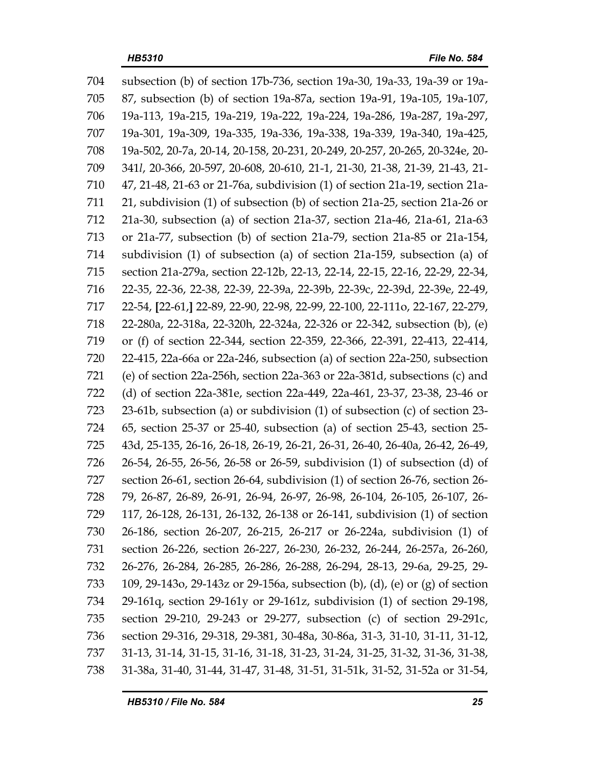704 subsection (b) of section 17b-736, section 19a-30, 19a-33, 19a-39 or 19a-705 87, subsection (b) of section 19a-87a, section 19a-91, 19a-105, 19a-107, 706 19a-113, 19a-215, 19a-219, 19a-222, 19a-224, 19a-286, 19a-287, 19a-297, 707 19a-301, 19a-309, 19a-335, 19a-336, 19a-338, 19a-339, 19a-340, 19a-425, 708 19a-502, 20-7a, 20-14, 20-158, 20-231, 20-249, 20-257, 20-265, 20-324e, 20- 709 341*l*, 20-366, 20-597, 20-608, 20-610, 21-1, 21-30, 21-38, 21-39, 21-43, 21- 710 47, 21-48, 21-63 or 21-76a, subdivision (1) of section 21a-19, section 21a-711 21, subdivision (1) of subsection (b) of section 21a-25, section 21a-26 or 712 21a-30, subsection (a) of section 21a-37, section 21a-46, 21a-61, 21a-63 713 or 21a-77, subsection (b) of section 21a-79, section 21a-85 or 21a-154, 714 subdivision (1) of subsection (a) of section 21a-159, subsection (a) of 715 section 21a-279a, section 22-12b, 22-13, 22-14, 22-15, 22-16, 22-29, 22-34, 716 22-35, 22-36, 22-38, 22-39, 22-39a, 22-39b, 22-39c, 22-39d, 22-39e, 22-49, 717 22-54, **[**22-61,**]** 22-89, 22-90, 22-98, 22-99, 22-100, 22-111o, 22-167, 22-279, 718 22-280a, 22-318a, 22-320h, 22-324a, 22-326 or 22-342, subsection (b), (e) 719 or (f) of section 22-344, section 22-359, 22-366, 22-391, 22-413, 22-414, 720 22-415, 22a-66a or 22a-246, subsection (a) of section 22a-250, subsection 721 (e) of section 22a-256h, section 22a-363 or 22a-381d, subsections (c) and 722 (d) of section 22a-381e, section 22a-449, 22a-461, 23-37, 23-38, 23-46 or 723 23-61b, subsection (a) or subdivision (1) of subsection (c) of section 23- 724 65, section 25-37 or 25-40, subsection (a) of section 25-43, section 25- 725 43d, 25-135, 26-16, 26-18, 26-19, 26-21, 26-31, 26-40, 26-40a, 26-42, 26-49, 726 26-54, 26-55, 26-56, 26-58 or 26-59, subdivision (1) of subsection (d) of 727 section 26-61, section 26-64, subdivision (1) of section 26-76, section 26- 728 79, 26-87, 26-89, 26-91, 26-94, 26-97, 26-98, 26-104, 26-105, 26-107, 26- 729 117, 26-128, 26-131, 26-132, 26-138 or 26-141, subdivision (1) of section 730 26-186, section 26-207, 26-215, 26-217 or 26-224a, subdivision (1) of 731 section 26-226, section 26-227, 26-230, 26-232, 26-244, 26-257a, 26-260, 732 26-276, 26-284, 26-285, 26-286, 26-288, 26-294, 28-13, 29-6a, 29-25, 29- 733 109, 29-143o, 29-143z or 29-156a, subsection (b), (d), (e) or (g) of section 734 29-161q, section 29-161y or 29-161z, subdivision (1) of section 29-198, 735 section 29-210, 29-243 or 29-277, subsection (c) of section 29-291c, 736 section 29-316, 29-318, 29-381, 30-48a, 30-86a, 31-3, 31-10, 31-11, 31-12, 737 31-13, 31-14, 31-15, 31-16, 31-18, 31-23, 31-24, 31-25, 31-32, 31-36, 31-38, 738 31-38a, 31-40, 31-44, 31-47, 31-48, 31-51, 31-51k, 31-52, 31-52a or 31-54,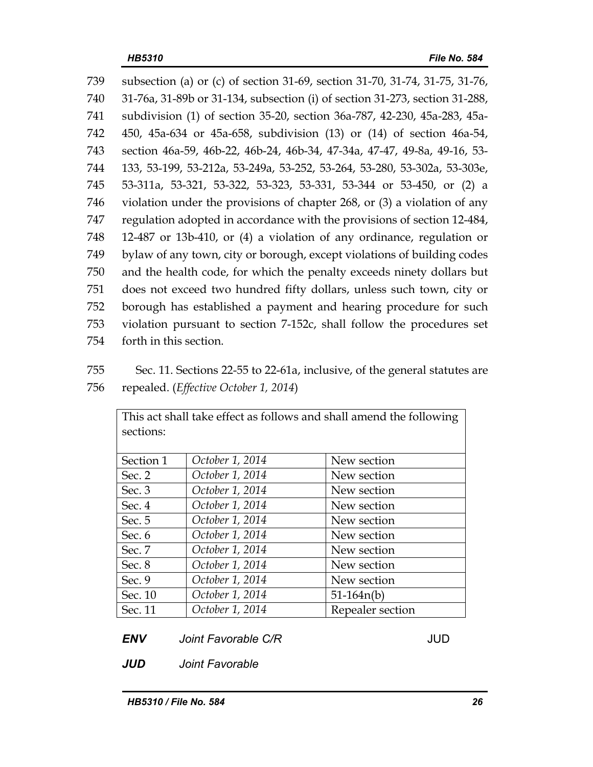| 739 | subsection (a) or (c) of section 31-69, section 31-70, 31-74, 31-75, 31-76, |
|-----|-----------------------------------------------------------------------------|
| 740 | 31-76a, 31-89b or 31-134, subsection (i) of section 31-273, section 31-288, |
| 741 | subdivision (1) of section 35-20, section 36a-787, 42-230, 45a-283, 45a-    |
| 742 | 450, 45a-634 or 45a-658, subdivision (13) or (14) of section 46a-54,        |
| 743 | section 46a-59, 46b-22, 46b-24, 46b-34, 47-34a, 47-47, 49-8a, 49-16, 53-    |
| 744 | 133, 53-199, 53-212a, 53-249a, 53-252, 53-264, 53-280, 53-302a, 53-303e,    |
| 745 | 53-311a, 53-321, 53-322, 53-323, 53-331, 53-344 or 53-450, or (2) a         |
| 746 | violation under the provisions of chapter 268, or $(3)$ a violation of any  |
| 747 | regulation adopted in accordance with the provisions of section 12-484,     |
| 748 | 12-487 or 13b-410, or (4) a violation of any ordinance, regulation or       |
| 749 | bylaw of any town, city or borough, except violations of building codes     |
| 750 | and the health code, for which the penalty exceeds ninety dollars but       |
| 751 | does not exceed two hundred fifty dollars, unless such town, city or        |
| 752 | borough has established a payment and hearing procedure for such            |
| 753 | violation pursuant to section 7-152c, shall follow the procedures set       |
| 754 | forth in this section.                                                      |

755 Sec. 11. Sections 22-55 to 22-61a, inclusive, of the general statutes are 756 repealed. (*Effective October 1, 2014*)

This act shall take effect as follows and shall amend the following

| sections: |                 |                  |
|-----------|-----------------|------------------|
|           |                 |                  |
| Section 1 | October 1, 2014 | New section      |
| Sec. $2$  | October 1, 2014 | New section      |
| Sec. $3$  | October 1, 2014 | New section      |
| Sec. $4$  | October 1, 2014 | New section      |
| Sec. $5$  | October 1, 2014 | New section      |
| Sec. 6    | October 1, 2014 | New section      |
| Sec. 7    | October 1, 2014 | New section      |
| Sec. $8$  | October 1, 2014 | New section      |
| Sec. 9    | October 1, 2014 | New section      |
| Sec. 10   | October 1, 2014 | $51-164n(b)$     |
| Sec. 11   | October 1, 2014 | Repealer section |

*ENV Joint Favorable C/R JUD* 

*JUD Joint Favorable*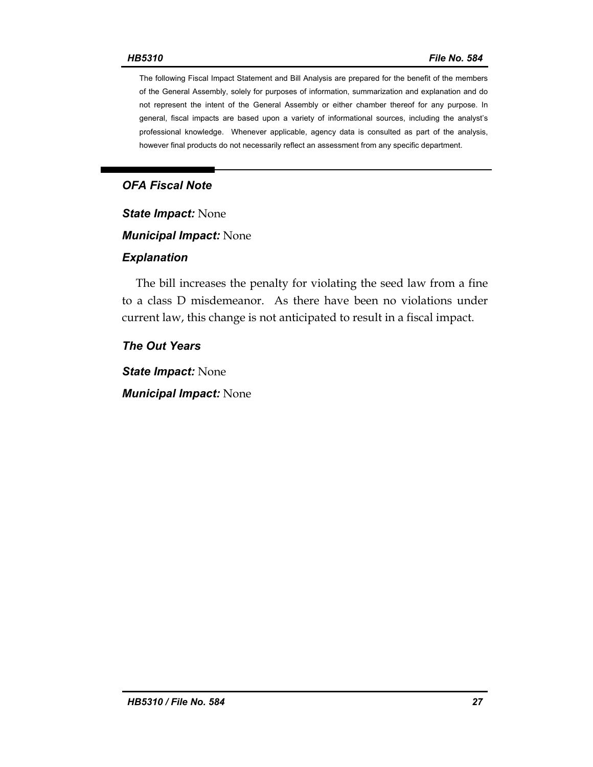The following Fiscal Impact Statement and Bill Analysis are prepared for the benefit of the members of the General Assembly, solely for purposes of information, summarization and explanation and do not represent the intent of the General Assembly or either chamber thereof for any purpose. In general, fiscal impacts are based upon a variety of informational sources, including the analyst's professional knowledge. Whenever applicable, agency data is consulted as part of the analysis, however final products do not necessarily reflect an assessment from any specific department.

### *OFA Fiscal Note*

*State Impact:* None

*Municipal Impact:* None

#### *Explanation*

The bill increases the penalty for violating the seed law from a fine to a class D misdemeanor. As there have been no violations under current law, this change is not anticipated to result in a fiscal impact.

#### *The Out Years*

*State Impact:* None *Municipal Impact:* None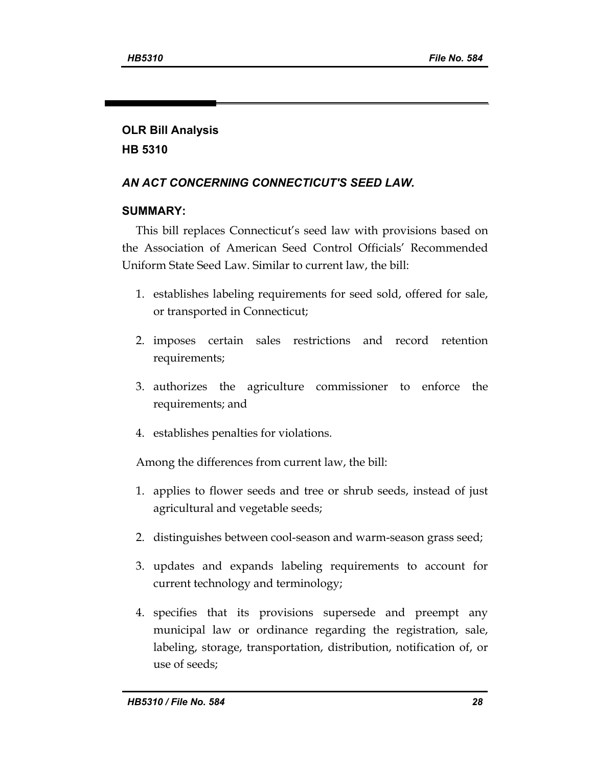# **OLR Bill Analysis HB 5310**

## *AN ACT CONCERNING CONNECTICUT'S SEED LAW.*

### **SUMMARY:**

This bill replaces Connecticut's seed law with provisions based on the Association of American Seed Control Officials' Recommended Uniform State Seed Law. Similar to current law, the bill:

- 1. establishes labeling requirements for seed sold, offered for sale, or transported in Connecticut;
- 2. imposes certain sales restrictions and record retention requirements;
- 3. authorizes the agriculture commissioner to enforce the requirements; and
- 4. establishes penalties for violations.

Among the differences from current law, the bill:

- 1. applies to flower seeds and tree or shrub seeds, instead of just agricultural and vegetable seeds;
- 2. distinguishes between cool-season and warm-season grass seed;
- 3. updates and expands labeling requirements to account for current technology and terminology;
- 4. specifies that its provisions supersede and preempt any municipal law or ordinance regarding the registration, sale, labeling, storage, transportation, distribution, notification of, or use of seeds;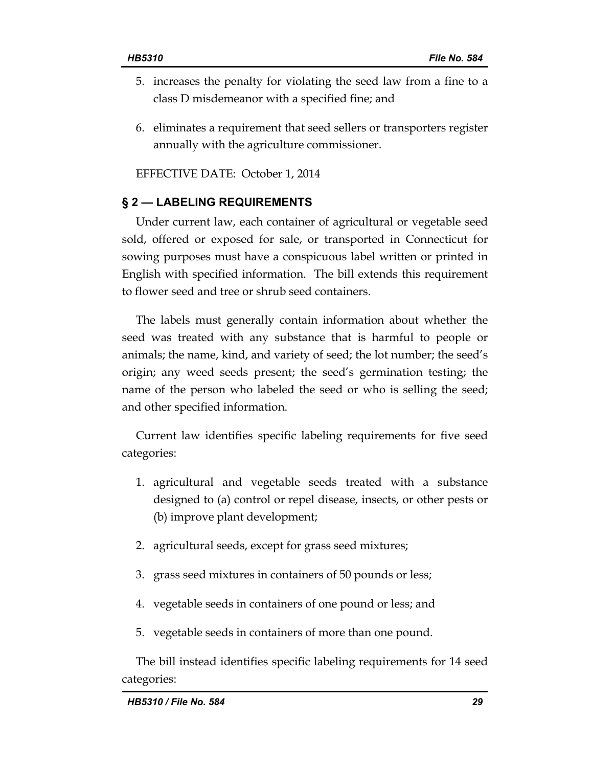- 5. increases the penalty for violating the seed law from a fine to a class D misdemeanor with a specified fine; and
- 6. eliminates a requirement that seed sellers or transporters register annually with the agriculture commissioner.

EFFECTIVE DATE: October 1, 2014

### **§ 2 — LABELING REQUIREMENTS**

Under current law, each container of agricultural or vegetable seed sold, offered or exposed for sale, or transported in Connecticut for sowing purposes must have a conspicuous label written or printed in English with specified information. The bill extends this requirement to flower seed and tree or shrub seed containers.

The labels must generally contain information about whether the seed was treated with any substance that is harmful to people or animals; the name, kind, and variety of seed; the lot number; the seed's origin; any weed seeds present; the seed's germination testing; the name of the person who labeled the seed or who is selling the seed; and other specified information.

Current law identifies specific labeling requirements for five seed categories:

- 1. agricultural and vegetable seeds treated with a substance designed to (a) control or repel disease, insects, or other pests or (b) improve plant development;
- 2. agricultural seeds, except for grass seed mixtures;
- 3. grass seed mixtures in containers of 50 pounds or less;
- 4. vegetable seeds in containers of one pound or less; and
- 5. vegetable seeds in containers of more than one pound.

The bill instead identifies specific labeling requirements for 14 seed categories: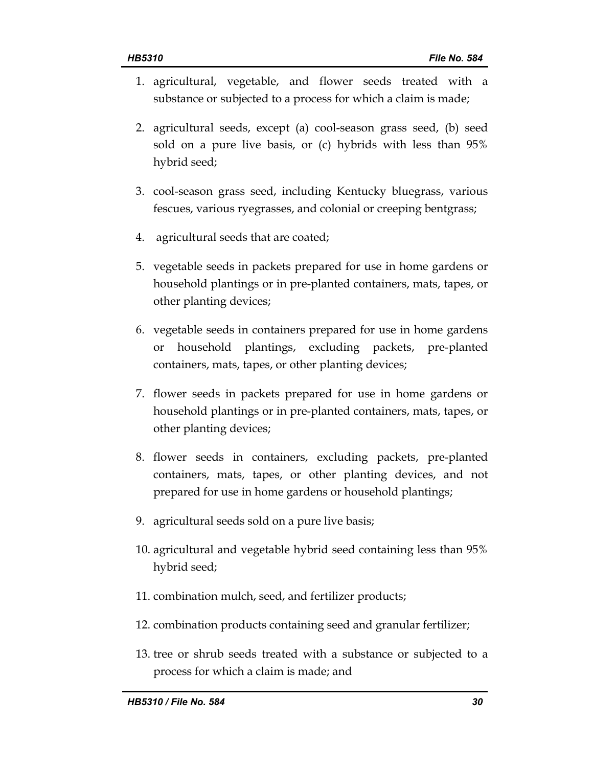- 1. agricultural, vegetable, and flower seeds treated with a substance or subjected to a process for which a claim is made;
- 2. agricultural seeds, except (a) cool-season grass seed, (b) seed sold on a pure live basis, or (c) hybrids with less than 95% hybrid seed;
- 3. cool-season grass seed, including Kentucky bluegrass, various fescues, various ryegrasses, and colonial or creeping bentgrass;
- 4. agricultural seeds that are coated;
- 5. vegetable seeds in packets prepared for use in home gardens or household plantings or in pre-planted containers, mats, tapes, or other planting devices;
- 6. vegetable seeds in containers prepared for use in home gardens or household plantings, excluding packets, pre-planted containers, mats, tapes, or other planting devices;
- 7. flower seeds in packets prepared for use in home gardens or household plantings or in pre-planted containers, mats, tapes, or other planting devices;
- 8. flower seeds in containers, excluding packets, pre-planted containers, mats, tapes, or other planting devices, and not prepared for use in home gardens or household plantings;
- 9. agricultural seeds sold on a pure live basis;
- 10. agricultural and vegetable hybrid seed containing less than 95% hybrid seed;
- 11. combination mulch, seed, and fertilizer products;
- 12. combination products containing seed and granular fertilizer;
- 13. tree or shrub seeds treated with a substance or subjected to a process for which a claim is made; and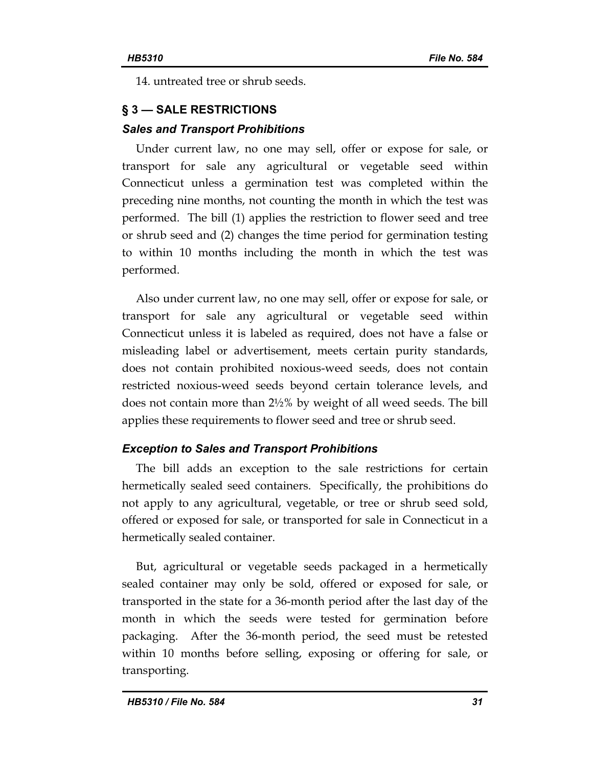14. untreated tree or shrub seeds.

# **§ 3 — SALE RESTRICTIONS**

### *Sales and Transport Prohibitions*

Under current law, no one may sell, offer or expose for sale, or transport for sale any agricultural or vegetable seed within Connecticut unless a germination test was completed within the preceding nine months, not counting the month in which the test was performed. The bill (1) applies the restriction to flower seed and tree or shrub seed and (2) changes the time period for germination testing to within 10 months including the month in which the test was performed.

Also under current law, no one may sell, offer or expose for sale, or transport for sale any agricultural or vegetable seed within Connecticut unless it is labeled as required, does not have a false or misleading label or advertisement, meets certain purity standards, does not contain prohibited noxious-weed seeds, does not contain restricted noxious-weed seeds beyond certain tolerance levels, and does not contain more than 2½% by weight of all weed seeds. The bill applies these requirements to flower seed and tree or shrub seed.

# *Exception to Sales and Transport Prohibitions*

The bill adds an exception to the sale restrictions for certain hermetically sealed seed containers. Specifically, the prohibitions do not apply to any agricultural, vegetable, or tree or shrub seed sold, offered or exposed for sale, or transported for sale in Connecticut in a hermetically sealed container.

But, agricultural or vegetable seeds packaged in a hermetically sealed container may only be sold, offered or exposed for sale, or transported in the state for a 36-month period after the last day of the month in which the seeds were tested for germination before packaging. After the 36-month period, the seed must be retested within 10 months before selling, exposing or offering for sale, or transporting.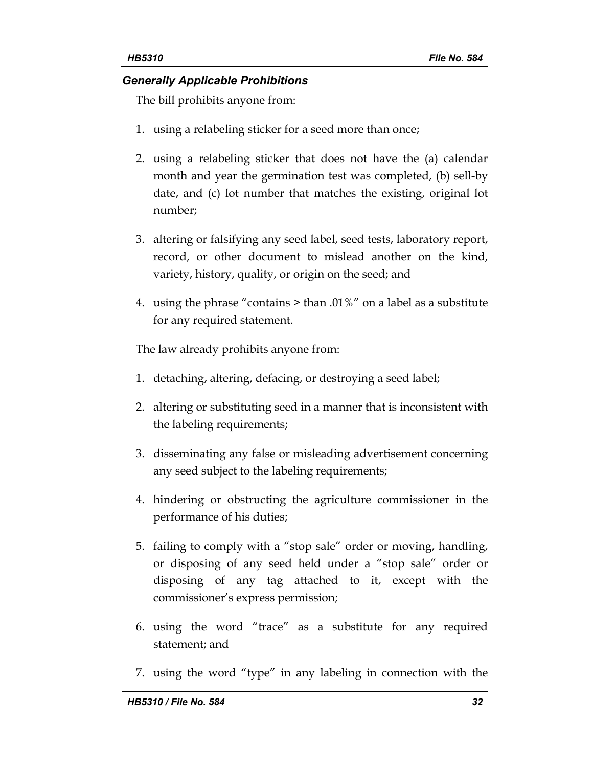#### *Generally Applicable Prohibitions*

The bill prohibits anyone from:

- 1. using a relabeling sticker for a seed more than once;
- 2. using a relabeling sticker that does not have the (a) calendar month and year the germination test was completed, (b) sell-by date, and (c) lot number that matches the existing, original lot number;
- 3. altering or falsifying any seed label, seed tests, laboratory report, record, or other document to mislead another on the kind, variety, history, quality, or origin on the seed; and
- 4. using the phrase "contains > than .01%" on a label as a substitute for any required statement.

The law already prohibits anyone from:

- 1. detaching, altering, defacing, or destroying a seed label;
- 2. altering or substituting seed in a manner that is inconsistent with the labeling requirements;
- 3. disseminating any false or misleading advertisement concerning any seed subject to the labeling requirements;
- 4. hindering or obstructing the agriculture commissioner in the performance of his duties;
- 5. failing to comply with a "stop sale" order or moving, handling, or disposing of any seed held under a "stop sale" order or disposing of any tag attached to it, except with the commissioner's express permission;
- 6. using the word "trace" as a substitute for any required statement; and
- 7. using the word "type" in any labeling in connection with the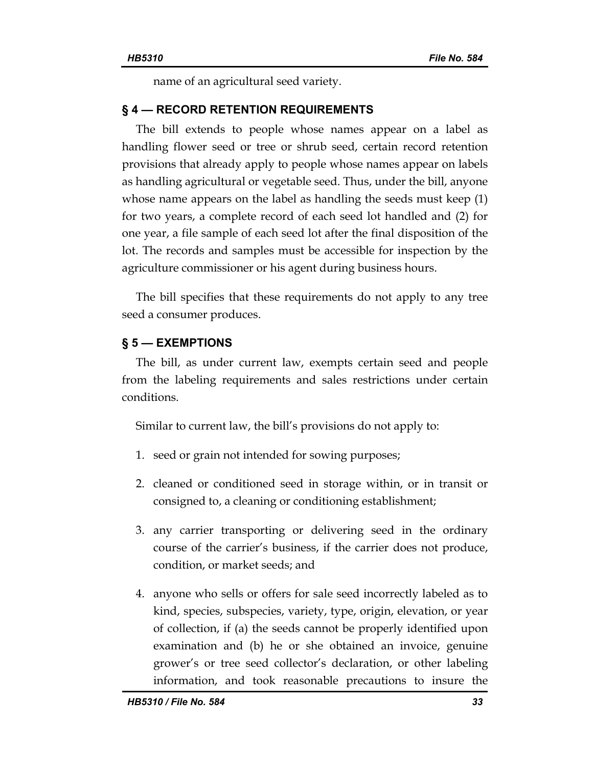name of an agricultural seed variety.

#### **§ 4 — RECORD RETENTION REQUIREMENTS**

The bill extends to people whose names appear on a label as handling flower seed or tree or shrub seed, certain record retention provisions that already apply to people whose names appear on labels as handling agricultural or vegetable seed. Thus, under the bill, anyone whose name appears on the label as handling the seeds must keep (1) for two years, a complete record of each seed lot handled and (2) for one year, a file sample of each seed lot after the final disposition of the lot. The records and samples must be accessible for inspection by the agriculture commissioner or his agent during business hours.

The bill specifies that these requirements do not apply to any tree seed a consumer produces.

#### **§ 5 — EXEMPTIONS**

The bill, as under current law, exempts certain seed and people from the labeling requirements and sales restrictions under certain conditions.

Similar to current law, the bill's provisions do not apply to:

- 1. seed or grain not intended for sowing purposes;
- 2. cleaned or conditioned seed in storage within, or in transit or consigned to, a cleaning or conditioning establishment;
- 3. any carrier transporting or delivering seed in the ordinary course of the carrier's business, if the carrier does not produce, condition, or market seeds; and
- 4. anyone who sells or offers for sale seed incorrectly labeled as to kind, species, subspecies, variety, type, origin, elevation, or year of collection, if (a) the seeds cannot be properly identified upon examination and (b) he or she obtained an invoice, genuine grower's or tree seed collector's declaration, or other labeling information, and took reasonable precautions to insure the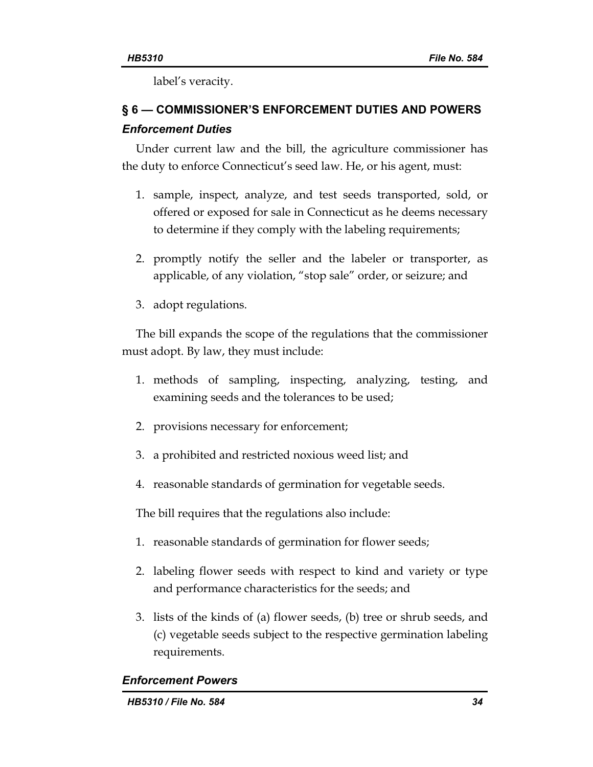label's veracity.

# **§ 6 — COMMISSIONER'S ENFORCEMENT DUTIES AND POWERS**  *Enforcement Duties*

Under current law and the bill, the agriculture commissioner has the duty to enforce Connecticut's seed law. He, or his agent, must:

- 1. sample, inspect, analyze, and test seeds transported, sold, or offered or exposed for sale in Connecticut as he deems necessary to determine if they comply with the labeling requirements;
- 2. promptly notify the seller and the labeler or transporter, as applicable, of any violation, "stop sale" order, or seizure; and
- 3. adopt regulations.

The bill expands the scope of the regulations that the commissioner must adopt. By law, they must include:

- 1. methods of sampling, inspecting, analyzing, testing, and examining seeds and the tolerances to be used;
- 2. provisions necessary for enforcement;
- 3. a prohibited and restricted noxious weed list; and
- 4. reasonable standards of germination for vegetable seeds.

The bill requires that the regulations also include:

- 1. reasonable standards of germination for flower seeds;
- 2. labeling flower seeds with respect to kind and variety or type and performance characteristics for the seeds; and
- 3. lists of the kinds of (a) flower seeds, (b) tree or shrub seeds, and (c) vegetable seeds subject to the respective germination labeling requirements.

### *Enforcement Powers*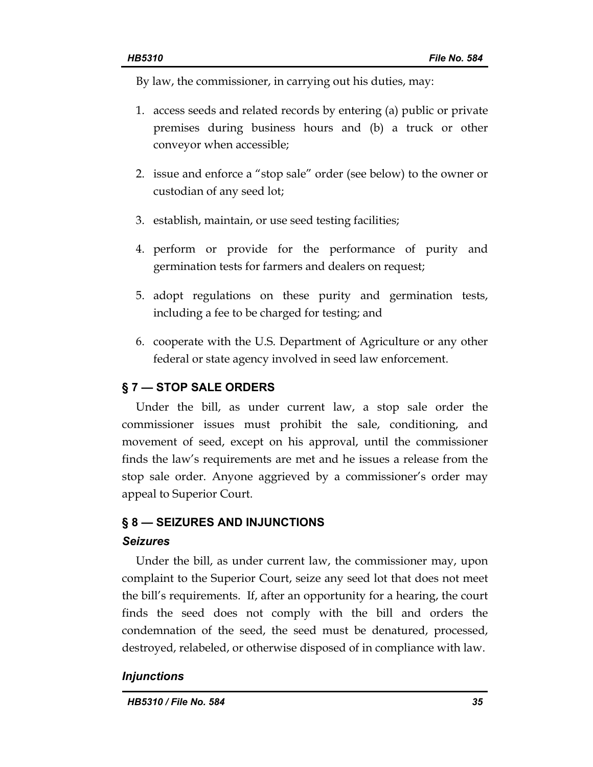By law, the commissioner, in carrying out his duties, may:

- 1. access seeds and related records by entering (a) public or private premises during business hours and (b) a truck or other conveyor when accessible;
- 2. issue and enforce a "stop sale" order (see below) to the owner or custodian of any seed lot;
- 3. establish, maintain, or use seed testing facilities;
- 4. perform or provide for the performance of purity and germination tests for farmers and dealers on request;
- 5. adopt regulations on these purity and germination tests, including a fee to be charged for testing; and
- 6. cooperate with the U.S. Department of Agriculture or any other federal or state agency involved in seed law enforcement.

# **§ 7 — STOP SALE ORDERS**

Under the bill, as under current law, a stop sale order the commissioner issues must prohibit the sale, conditioning, and movement of seed, except on his approval, until the commissioner finds the law's requirements are met and he issues a release from the stop sale order. Anyone aggrieved by a commissioner's order may appeal to Superior Court.

### **§ 8 — SEIZURES AND INJUNCTIONS**

### *Seizures*

Under the bill, as under current law, the commissioner may, upon complaint to the Superior Court, seize any seed lot that does not meet the bill's requirements. If, after an opportunity for a hearing, the court finds the seed does not comply with the bill and orders the condemnation of the seed, the seed must be denatured, processed, destroyed, relabeled, or otherwise disposed of in compliance with law.

### *Injunctions*